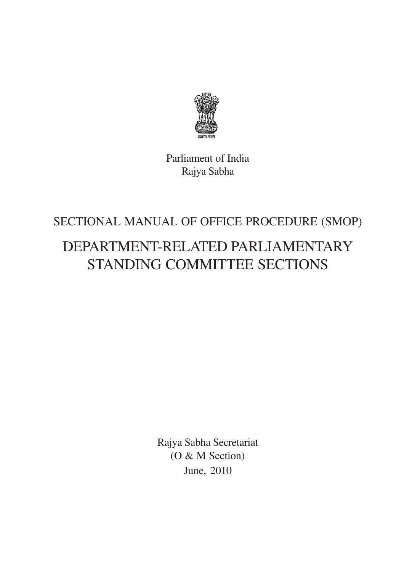

Parliament of India Rajya Sabha

# SECTIONAL MANUAL OF OFFICE PROCEDURE (SMOP)

# DEPARTMENT-RELATED PARLIAMENTARY STANDING COMMITTEE SECTIONS

Rajya Sabha Secretariat (O & M Section) June, 2010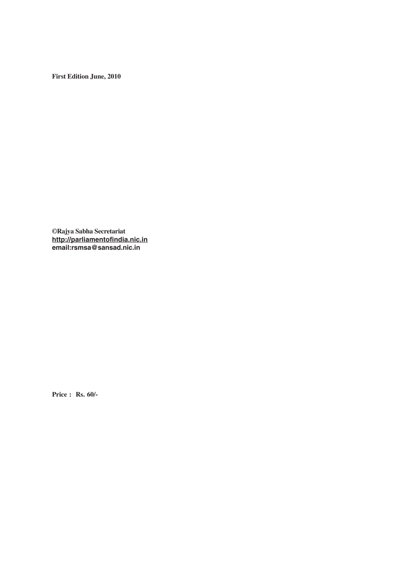**First Edition June, 2010**

**©Rajya Sabha Secretariat http://parliamentofindia.nic.in email:rsmsa@sansad.nic.in**

**Price : Rs. 60/-**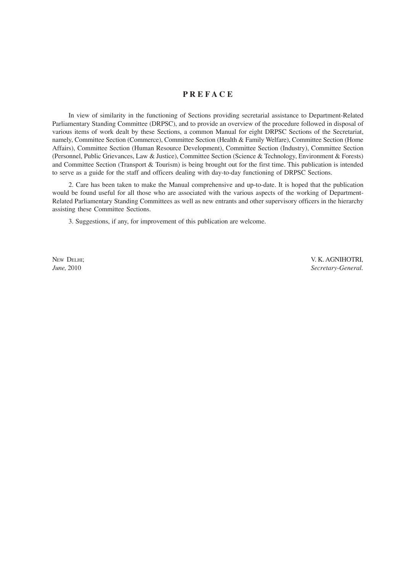# **P R E F A C E**

In view of similarity in the functioning of Sections providing secretarial assistance to Department-Related Parliamentary Standing Committee (DRPSC), and to provide an overview of the procedure followed in disposal of various items of work dealt by these Sections, a common Manual for eight DRPSC Sections of the Secretariat, namely, Committee Section (Commerce), Committee Section (Health & Family Welfare), Committee Section (Home Affairs), Committee Section (Human Resource Development), Committee Section (Industry), Committee Section (Personnel, Public Grievances, Law & Justice), Committee Section (Science & Technology, Environment & Forests) and Committee Section (Transport & Tourism) is being brought out for the first time. This publication is intended to serve as a guide for the staff and officers dealing with day-to-day functioning of DRPSC Sections.

2. Care has been taken to make the Manual comprehensive and up-to-date. It is hoped that the publication would be found useful for all those who are associated with the various aspects of the working of Department-Related Parliamentary Standing Committees as well as new entrants and other supervisory officers in the hierarchy assisting these Committee Sections.

3. Suggestions, if any, for improvement of this publication are welcome.

NEW DELHI; V. K. AGNIHOTRI, *June,* 2010 *Secretary-General.*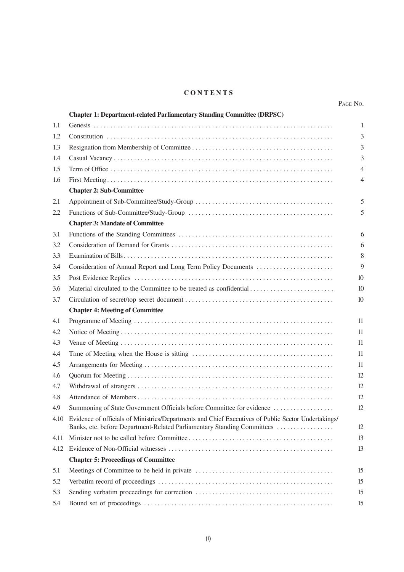# **C O N T E N T S**

|      | <b>Chapter 1: Department-related Parliamentary Standing Committee (DRPSC)</b>                                                                                                       |                |
|------|-------------------------------------------------------------------------------------------------------------------------------------------------------------------------------------|----------------|
| 1.1  |                                                                                                                                                                                     | 1              |
| 1.2  |                                                                                                                                                                                     | 3              |
| 1.3  |                                                                                                                                                                                     | 3              |
| 1.4  |                                                                                                                                                                                     | 3              |
| 1.5  |                                                                                                                                                                                     | 4              |
| 1.6  |                                                                                                                                                                                     | $\overline{4}$ |
|      | <b>Chapter 2: Sub-Committee</b>                                                                                                                                                     |                |
| 2.1  |                                                                                                                                                                                     | 5              |
| 2.2  |                                                                                                                                                                                     | 5              |
|      | <b>Chapter 3: Mandate of Committee</b>                                                                                                                                              |                |
| 3.1  |                                                                                                                                                                                     | 6              |
| 3.2  |                                                                                                                                                                                     | 6              |
| 3.3  |                                                                                                                                                                                     | 8              |
| 3.4  |                                                                                                                                                                                     | 9              |
| 3.5  |                                                                                                                                                                                     | 10             |
| 3.6  |                                                                                                                                                                                     | 10             |
| 3.7  |                                                                                                                                                                                     | 10             |
|      | <b>Chapter 4: Meeting of Committee</b>                                                                                                                                              |                |
| 4.1  |                                                                                                                                                                                     | 11             |
| 4.2  |                                                                                                                                                                                     | 11             |
| 4.3  |                                                                                                                                                                                     | 11             |
| 4.4  |                                                                                                                                                                                     | 11             |
| 4.5  |                                                                                                                                                                                     | 11             |
| 4.6  |                                                                                                                                                                                     | 12             |
| 4.7  |                                                                                                                                                                                     | 12             |
| 4.8  |                                                                                                                                                                                     | 12             |
| 4.9  | Summoning of State Government Officials before Committee for evidence                                                                                                               | 12             |
|      | 4.10 Evidence of officials of Ministries/Departments and Chief Executives of Public Sector Undertakings/<br>Banks, etc. before Department-Related Parliamentary Standing Committees | 12             |
| 4.11 |                                                                                                                                                                                     | 13             |
| 4.12 |                                                                                                                                                                                     | 13             |
|      | <b>Chapter 5: Proceedings of Committee</b>                                                                                                                                          |                |
| 5.1  |                                                                                                                                                                                     | 15             |
| 5.2  |                                                                                                                                                                                     | 15             |
| 5.3  |                                                                                                                                                                                     | 15             |
| 5.4  |                                                                                                                                                                                     | 15             |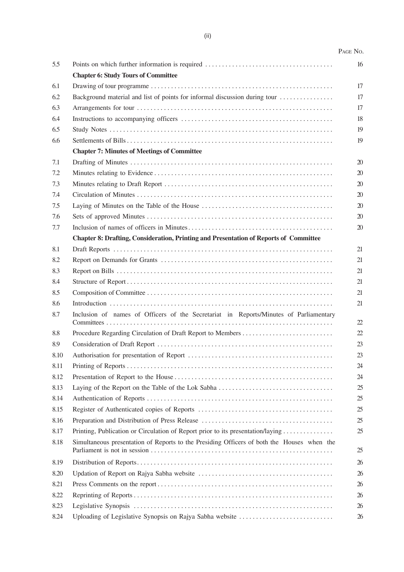# PAGE NO.

| 5.5         |                                                                                              | 16 |
|-------------|----------------------------------------------------------------------------------------------|----|
|             | <b>Chapter 6: Study Tours of Committee</b>                                                   |    |
| 6.1         |                                                                                              | 17 |
| 6.2         | Background material and list of points for informal discussion during tour                   | 17 |
| 6.3         |                                                                                              | 17 |
| 6.4         |                                                                                              | 18 |
| 6.5         |                                                                                              | 19 |
| 6.6         |                                                                                              | 19 |
|             | <b>Chapter 7: Minutes of Meetings of Committee</b>                                           |    |
| 7.1         |                                                                                              | 20 |
| 7.2         |                                                                                              | 20 |
| 7.3         |                                                                                              | 20 |
| 7.4         |                                                                                              | 20 |
| 7.5         |                                                                                              | 20 |
| 7.6         |                                                                                              | 20 |
| 7.7         |                                                                                              | 20 |
|             | <b>Chapter 8: Drafting, Consideration, Printing and Presentation of Reports of Committee</b> |    |
| 8.1         |                                                                                              | 21 |
| 8.2         |                                                                                              | 21 |
| 8.3         |                                                                                              | 21 |
| 8.4         |                                                                                              | 21 |
| 8.5         |                                                                                              | 21 |
| 8.6         |                                                                                              | 21 |
| 8.7         | Inclusion of names of Officers of the Secretariat in Reports/Minutes of Parliamentary        | 22 |
|             |                                                                                              | 22 |
| 8.8         |                                                                                              |    |
| 8.9<br>8.10 |                                                                                              | 23 |
|             |                                                                                              | 23 |
| 8.11        |                                                                                              | 24 |
| 8.12        |                                                                                              | 24 |
| 8.13        |                                                                                              | 25 |
| 8.14        |                                                                                              | 25 |
| 8.15        |                                                                                              | 25 |
| 8.16        |                                                                                              | 25 |
| 8.17        | Printing, Publication or Circulation of Report prior to its presentation/laying              | 25 |
| 8.18        | Simultaneous presentation of Reports to the Presiding Officers of both the Houses when the   | 25 |
| 8.19        |                                                                                              | 26 |
| 8.20        |                                                                                              | 26 |
| 8.21        |                                                                                              | 26 |
| 8.22        |                                                                                              | 26 |
| 8.23        |                                                                                              | 26 |
| 8.24        | Uploading of Legislative Synopsis on Rajya Sabha website                                     | 26 |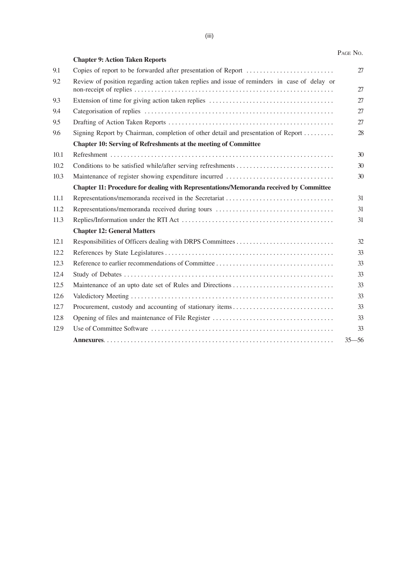|      |                                                                                              | PAGE NO.  |
|------|----------------------------------------------------------------------------------------------|-----------|
|      | <b>Chapter 9: Action Taken Reports</b>                                                       |           |
| 9.1  |                                                                                              | 27        |
| 9.2  | Review of position regarding action taken replies and issue of reminders in case of delay or |           |
|      |                                                                                              | 27        |
| 9.3  |                                                                                              | 27        |
| 9.4  |                                                                                              | 27        |
| 9.5  |                                                                                              | 27        |
| 9.6  | Signing Report by Chairman, completion of other detail and presentation of Report            | 28        |
|      | <b>Chapter 10: Serving of Refreshments at the meeting of Committee</b>                       |           |
| 10.1 |                                                                                              | 30        |
| 10.2 |                                                                                              | 30        |
| 10.3 |                                                                                              | 30        |
|      | Chapter 11: Procedure for dealing with Representations/Memoranda received by Committee       |           |
| 11.1 |                                                                                              | 31        |
| 11.2 |                                                                                              | 31        |
| 11.3 |                                                                                              | 31        |
|      | <b>Chapter 12: General Matters</b>                                                           |           |
| 12.1 |                                                                                              | 32        |
| 12.2 |                                                                                              | 33        |
| 12.3 |                                                                                              | 33        |
| 12.4 |                                                                                              | 33        |
| 12.5 |                                                                                              | 33        |
| 12.6 |                                                                                              | 33        |
| 12.7 |                                                                                              | 33        |
| 12.8 |                                                                                              | 33        |
| 12.9 |                                                                                              | 33        |
|      |                                                                                              | $35 - 56$ |
|      |                                                                                              |           |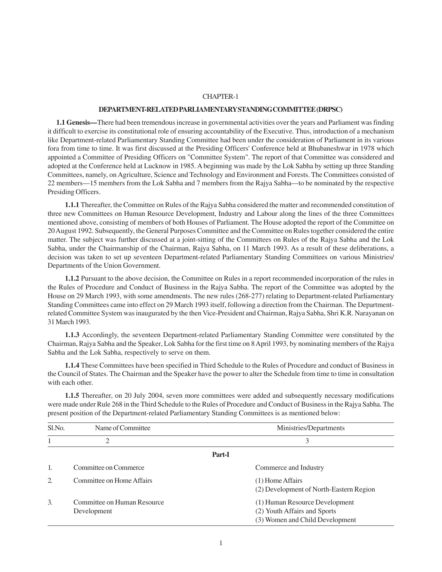#### **DEPARTMENT-RELATED PARLIAMENTARY STANDING COMMITTEE (DRPSC)**

**1.1 Genesis—**There had been tremendous increase in governmental activities over the years and Parliament was finding it difficult to exercise its constitutional role of ensuring accountability of the Executive. Thus, introduction of a mechanism like Department-related Parliamentary Standing Committee had been under the consideration of Parliament in its various fora from time to time. It was first discussed at the Presiding Officers' Conference held at Bhubaneshwar in 1978 which appointed a Committee of Presiding Officers on "Committee System". The report of that Committee was considered and adopted at the Conference held at Lucknow in 1985. A beginning was made by the Lok Sabha by setting up three Standing Committees, namely, on Agriculture, Science and Technology and Environment and Forests. The Committees consisted of 22 members—15 members from the Lok Sabha and 7 members from the Rajya Sabha—to be nominated by the respective Presiding Officers.

**1.1.1** Thereafter, the Committee on Rules of the Rajya Sabha considered the matter and recommended constitution of three new Committees on Human Resource Development, Industry and Labour along the lines of the three Committees mentioned above, consisting of members of both Houses of Parliament. The House adopted the report of the Committee on 20 August 1992. Subsequently, the General Purposes Committee and the Committee on Rules together considered the entire matter. The subject was further discussed at a joint-sitting of the Committees on Rules of the Rajya Sabha and the Lok Sabha, under the Chairmanship of the Chairman, Rajya Sabha, on 11 March 1993. As a result of these deliberations, a decision was taken to set up seventeen Department-related Parliamentary Standing Committees on various Ministries/ Departments of the Union Government.

**1.1.2** Pursuant to the above decision, the Committee on Rules in a report recommended incorporation of the rules in the Rules of Procedure and Conduct of Business in the Rajya Sabha. The report of the Committee was adopted by the House on 29 March 1993, with some amendments. The new rules (268-277) relating to Department-related Parliamentary Standing Committees came into effect on 29 March 1993 itself, following a direction from the Chairman. The Departmentrelated Committee System was inaugurated by the then Vice-President and Chairman, Rajya Sabha, Shri K.R. Narayanan on 31 March 1993.

**1.1.3** Accordingly, the seventeen Department-related Parliamentary Standing Committee were constituted by the Chairman, Rajya Sabha and the Speaker, Lok Sabha for the first time on 8 April 1993, by nominating members of the Rajya Sabha and the Lok Sabha, respectively to serve on them.

**1.1.4** These Committees have been specified in Third Schedule to the Rules of Procedure and conduct of Business in the Council of States. The Chairman and the Speaker have the power to alter the Schedule from time to time in consultation with each other.

**1.1.5** Thereafter, on 20 July 2004, seven more committees were added and subsequently necessary modifications were made under Rule 268 in the Third Schedule to the Rules of Procedure and Conduct of Business in the Rajya Sabha. The present position of the Department-related Parliamentary Standing Committees is as mentioned below:

| Sl.No. | Name of Committee                          | Ministries/Departments                                                                            |
|--------|--------------------------------------------|---------------------------------------------------------------------------------------------------|
|        | $\overline{2}$                             | 3                                                                                                 |
|        |                                            | Part-I                                                                                            |
|        | Committee on Commerce                      | Commerce and Industry                                                                             |
| 2.     | Committee on Home Affairs                  | $(1)$ Home Affairs<br>(2) Development of North-Eastern Region                                     |
| 3.     | Committee on Human Resource<br>Development | (1) Human Resource Development<br>(2) Youth Affairs and Sports<br>(3) Women and Child Development |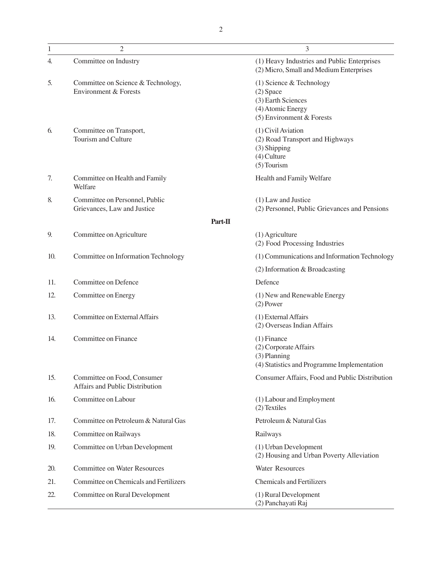| $\mathbf{1}$ | $\mathfrak{2}$                                                 | 3                                                                                                                 |
|--------------|----------------------------------------------------------------|-------------------------------------------------------------------------------------------------------------------|
| 4.           | Committee on Industry                                          | (1) Heavy Industries and Public Enterprises<br>(2) Micro, Small and Medium Enterprises                            |
| 5.           | Committee on Science & Technology,<br>Environment & Forests    | $(1)$ Science & Technology<br>$(2)$ Space<br>(3) Earth Sciences<br>(4) Atomic Energy<br>(5) Environment & Forests |
| 6.           | Committee on Transport,<br>Tourism and Culture                 | (1) Civil Aviation<br>(2) Road Transport and Highways<br>(3) Shipping<br>$(4)$ Culture<br>$(5)$ Tourism           |
| 7.           | Committee on Health and Family<br>Welfare                      | Health and Family Welfare                                                                                         |
| 8.           | Committee on Personnel, Public<br>Grievances, Law and Justice  | (1) Law and Justice<br>(2) Personnel, Public Grievances and Pensions                                              |
|              |                                                                | Part-II                                                                                                           |
| 9.           | Committee on Agriculture                                       | $(1)$ Agriculture<br>(2) Food Processing Industries                                                               |
| 10.          | Committee on Information Technology                            | (1) Communications and Information Technology                                                                     |
|              |                                                                | $(2)$ Information & Broadcasting                                                                                  |
| 11.          | Committee on Defence                                           | Defence                                                                                                           |
| 12.          | Committee on Energy                                            | (1) New and Renewable Energy<br>$(2)$ Power                                                                       |
| 13.          | Committee on External Affairs                                  | (1) External Affairs<br>(2) Overseas Indian Affairs                                                               |
| 14.          | Committee on Finance                                           | $(1)$ Finance<br>(2) Corporate Affairs<br>(3) Planning<br>(4) Statistics and Programme Implementation             |
| 15.          | Committee on Food, Consumer<br>Affairs and Public Distribution | Consumer Affairs, Food and Public Distribution                                                                    |
| 16.          | Committee on Labour                                            | (1) Labour and Employment<br>(2) Textiles                                                                         |
| 17.          | Committee on Petroleum & Natural Gas                           | Petroleum & Natural Gas                                                                                           |
| 18.          | Committee on Railways                                          | Railways                                                                                                          |
| 19.          | Committee on Urban Development                                 | (1) Urban Development<br>(2) Housing and Urban Poverty Alleviation                                                |
| 20.          | <b>Committee on Water Resources</b>                            | Water Resources                                                                                                   |
| 21.          | Committee on Chemicals and Fertilizers                         | <b>Chemicals and Fertilizers</b>                                                                                  |
| 22.          | Committee on Rural Development                                 | (1) Rural Development<br>(2) Panchayati Raj                                                                       |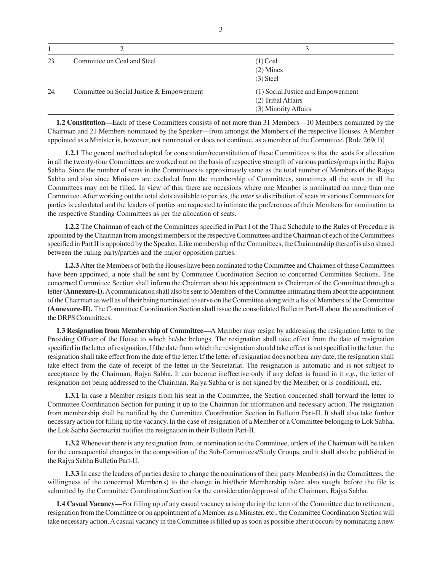|     | ∍                                         | 3                                  |
|-----|-------------------------------------------|------------------------------------|
| 23. | Committee on Coal and Steel               | $(1)$ Coal                         |
|     |                                           | $(2)$ Mines                        |
|     |                                           | $(3)$ Steel                        |
| 24. | Committee on Social Justice & Empowerment | (1) Social Justice and Empowerment |
|     |                                           | (2) Tribal Affairs                 |
|     |                                           | (3) Minority Affairs               |

**1.2 Constitution—**Each of these Committees consists of not more than 31 Members—10 Members nominated by the Chairman and 21 Members nominated by the Speaker—from amongst the Members of the respective Houses. A Member appointed as a Minister is, however, not nominated or does not continue, as a member of the Committee. [Rule 269(1)]

**1.2.1** The general method adopted for constitution/reconstitution of these Committees is that the seats for allocation in all the twenty-four Committees are worked out on the basis of respective strength of various parties/groups in the Rajya Sabha. Since the number of seats in the Committees is approximately same as the total number of Members of the Rajya Sabha and also since Ministers are excluded from the membership of Committees, sometimes all the seats in all the Committees may not be filled. In view of this, there are occasions where one Member is nominated on more than one Committee. After working out the total slots available to parties, the *inter se* distribution of seats in various Committees for parties is calculated and the leaders of parties are requested to intimate the preferences of their Members for nomination to the respective Standing Committees as per the allocation of seats.

**1.2.2** The Chairman of each of the Committees specified in Part I of the Third Schedule to the Rules of Procedure is appointed by the Chairman from amongst members of the respective Committees and the Chairman of each of the Committees specified in Part II is appointed by the Speaker. Like membership of the Committees, the Chairmanship thereof is also shared between the ruling party/parties and the major opposition parties.

**1.2.3** After the Members of both the Houses have been nominated to the Committee and Chairmen of these Committees have been appointed, a note shall be sent by Committee Coordination Section to concerned Committee Sections. The concerned Committee Section shall inform the Chairman about his appointment as Chairman of the Committee through a letter **(Annexure-I).** A communication shall also be sent to Members of the Committee intimating them about the appointment of the Chairman as well as of their being nominated to serve on the Committee along with a list of Members of the Committee **(Annexure-II).** The Committee Coordination Section shall issue the consolidated Bulletin Part-II about the constitution of the DRPS Committees.

**1.3 Resignation from Membership of Committee—**A Member may resign by addressing the resignation letter to the Presiding Officer of the House to which he/she belongs. The resignation shall take effect from the date of resignation specified in the letter of resignation. If the date from which the resignation should take effect is not specified in the letter, the resignation shall take effect from the date of the letter. If the letter of resignation does not bear any date, the resignation shall take effect from the date of receipt of the letter in the Secretariat. The resignation is automatic and is not subject to acceptance by the Chairman, Rajya Sabha. It can become ineffective only if any defect is found in it *e.g.,* the letter of resignation not being addressed to the Chairman, Rajya Sabha or is not signed by the Member, or is conditional, etc.

**1.3.1** In case a Member resigns from his seat in the Committee, the Section concerned shall forward the letter to Committee Coordination Section for putting it up to the Chairman for information and necessary action. The resignation from membership shall be notified by the Committee Coordination Section in Bulletin Part-II. It shall also take further necessary action for filling up the vacancy. In the case of resignation of a Member of a Committee belonging to Lok Sabha, the Lok Sabha Secretariat notifies the resignation in their Bulletin Part-II.

**1.3.2** Whenever there is any resignation from, or nomination to the Committee, orders of the Chairman will be taken for the consequential changes in the composition of the Sub-Committees/Study Groups, and it shall also be published in the Rajya Sabha Bulletin Part-II.

**1.3.3** In case the leaders of parties desire to change the nominations of their party Member(s) in the Committees, the willingness of the concerned Member(s) to the change in his/their Membership is/are also sought before the file is submitted by the Committee Coordination Section for the consideration/approval of the Chairman, Rajya Sabha.

**1.4 Casual Vacancy—**For filling up of any casual vacancy arising during the term of the Committee due to retirement, resignation from the Committee or on appointment of a Member as a Minister, etc., the Committee Coordination Section will take necessary action. A casual vacancy in the Committee is filled up as soon as possible after it occurs by nominating a new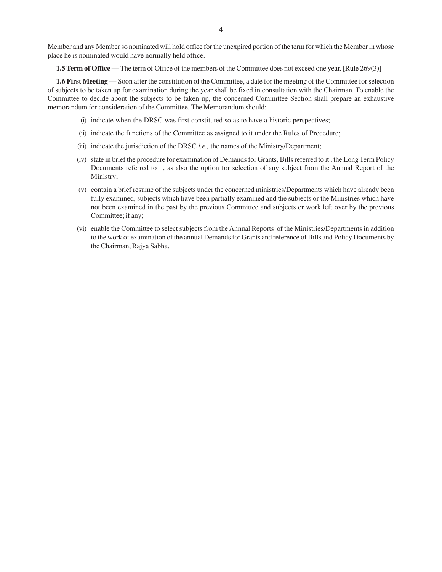Member and any Member so nominated will hold office for the unexpired portion of the term for which the Member in whose place he is nominated would have normally held office.

**1.5 Term of Office —** The term of Office of the members of the Committee does not exceed one year. [Rule 269(3)]

**1.6 First Meeting —** Soon after the constitution of the Committee, a date for the meeting of the Committee for selection of subjects to be taken up for examination during the year shall be fixed in consultation with the Chairman. To enable the Committee to decide about the subjects to be taken up, the concerned Committee Section shall prepare an exhaustive memorandum for consideration of the Committee. The Memorandum should:—

- (i) indicate when the DRSC was first constituted so as to have a historic perspectives;
- (ii) indicate the functions of the Committee as assigned to it under the Rules of Procedure;
- (iii) indicate the jurisdiction of the DRSC *i.e.,* the names of the Ministry/Department;
- (iv) state in brief the procedure for examination of Demands for Grants, Bills referred to it , the Long Term Policy Documents referred to it, as also the option for selection of any subject from the Annual Report of the Ministry;
- (v) contain a brief resume of the subjects under the concerned ministries/Departments which have already been fully examined, subjects which have been partially examined and the subjects or the Ministries which have not been examined in the past by the previous Committee and subjects or work left over by the previous Committee; if any;
- (vi) enable the Committee to select subjects from the Annual Reports of the Ministries/Departments in addition to the work of examination of the annual Demands for Grants and reference of Bills and Policy Documents by the Chairman, Rajya Sabha.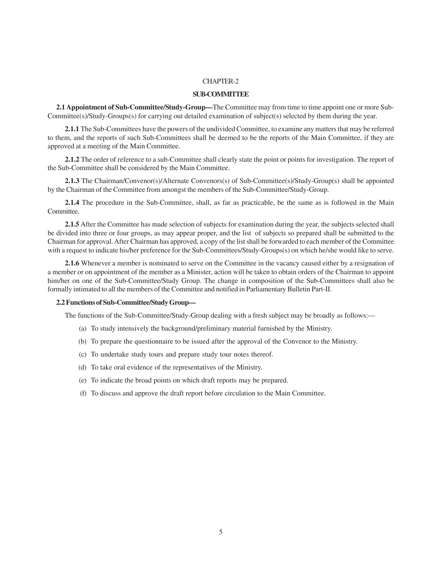#### **SUB-COMMITTEE**

**2.1 Appointment of Sub-Committee/Study-Group—**The Committee may from time to time appoint one or more Sub-Committee(s)/Study-Groups(s) for carrying out detailed examination of subject(s) selected by them during the year.

**2.1.1** The Sub-Committees have the powers of the undivided Committee, to examine any matters that may be referred to them, and the reports of such Sub-Committees shall be deemed to be the reports of the Main Committee, if they are approved at a meeting of the Main Committee.

**2.1.2** The order of reference to a sub-Committee shall clearly state the point or points for investigation. The report of the Sub-Committee shall be considered by the Main Committee.

**2.1.3** The Chairman/Convenor(s)/Alternate Convenors(s) of Sub-Committee(s)/Study-Group(s) shall be appointed by the Chairman of the Committee from amongst the members of the Sub-Committee/Study-Group.

**2.1.4** The procedure in the Sub-Committee, shall, as far as practicable, be the same as is followed in the Main Committee.

**2.1.5** After the Committee has made selection of subjects for examination during the year, the subjects selected shall be divided into three or four groups, as may appear proper, and the list of subjects so prepared shall be submitted to the Chairman for approval. After Chairman has approved, a copy of the list shall be forwarded to each member of the Committee with a request to indicate his/her preference for the Sub-Committees/Study-Groups(s) on which he/she would like to serve.

**2.1.6** Whenever a member is nominated to serve on the Committee in the vacancy caused either by a resignation of a member or on appointment of the member as a Minister, action will be taken to obtain orders of the Chairman to appoint him/her on one of the Sub-Committee/Study Group. The change in composition of the Sub-Committees shall also be formally intimated to all the members of the Committee and notified in Parliamentary Bulletin Part-II.

#### **2.2 Functions of Sub-Committee/Study Group—**

The functions of the Sub-Committee/Study-Group dealing with a fresh subject may be broadly as follows:—

- (a) To study intensively the background/preliminary material furnished by the Ministry.
- (b) To prepare the questionnaire to be issued after the approval of the Convenor to the Ministry.
- (c) To undertake study tours and prepare study tour notes thereof.
- (d) To take oral evidence of the representatives of the Ministry.
- (e) To indicate the broad points on which draft reports may be prepared.
- (f) To discuss and approve the draft report before circulation to the Main Committee.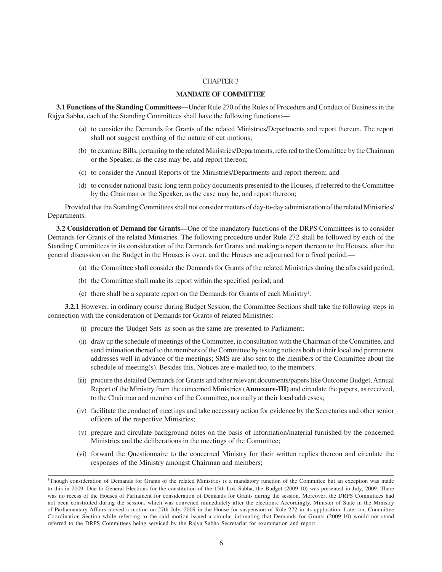#### **MANDATE OF COMMITTEE**

**3.1 Functions of the Standing Committees—**Under Rule 270 of the Rules of Procedure and Conduct of Business in the Rajya Sabha, each of the Standing Committees shall have the following functions:—

- (a) to consider the Demands for Grants of the related Ministries/Departments and report thereon. The report shall not suggest anything of the nature of cut motions;
- (b) to examine Bills, pertaining to the related Ministries/Departments, referred to the Committee by the Chairman or the Speaker, as the case may be, and report thereon;
- (c) to consider the Annual Reports of the Ministries/Departments and report thereon; and
- (d) to consider national basic long term policy documents presented to the Houses, if referred to the Committee by the Chairman or the Speaker, as the case may be, and report thereon;

Provided that the Standing Committees shall not consider matters of day-to-day administration of the related Ministries/ Departments.

**3.2 Consideration of Demand for Grants—**One of the mandatory functions of the DRPS Committees is to consider Demands for Grants of the related Ministries. The following procedure under Rule 272 shall be followed by each of the Standing Committees in its consideration of the Demands for Grants and making a report thereon to the Houses, after the general discussion on the Budget in the Houses is over, and the Houses are adjourned for a fixed period:—

- (a) the Committee shall consider the Demands for Grants of the related Ministries during the aforesaid period;
- (b) the Committee shall make its report within the specified period; and
- (c) there shall be a separate report on the Demands for Grants of each Ministry1 .

**3.2.1** However, in ordinary course during Budget Session, the Committee Sections shall take the following steps in connection with the consideration of Demands for Grants of related Ministries:—

- (i) procure the 'Budget Sets' as soon as the same are presented to Parliament;
- (ii) draw up the schedule of meetings of the Committee, in consultation with the Chairman of the Committee, and send intimation thereof to the members of the Committee by issuing notices both at their local and permanent addresses well in advance of the meetings; SMS are also sent to the members of the Committee about the schedule of meeting(s). Besides this, Notices are e-mailed too, to the members.
- (iii) procure the detailed Demands for Grants and other relevant documents/papers like Outcome Budget, Annual Report of the Ministry from the concerned Ministries (**Annexure-III)** and circulate the papers, as received, to the Chairman and members of the Committee, normally at their local addresses;
- (iv) facilitate the conduct of meetings and take necessary action for evidence by the Secretaries and other senior officers of the respective Ministries;
- (v) prepare and circulate background notes on the basis of information/material furnished by the concerned Ministries and the deliberations in the meetings of the Committee;
- (vi) forward the Questionnaire to the concerned Ministry for their written replies thereon and circulate the responses of the Ministry amongst Chairman and members;

<sup>&</sup>lt;sup>1</sup>Though consideration of Demands for Grants of the related Ministries is a mandatory function of the Committee but an exception was made to this in 2009. Due to General Elections for the constitution of the 15th Lok Sabha, the Budget (2009-10) was presented in July, 2009. There was no recess of the Houses of Parliament for consideration of Demands for Grants during the session. Moreover, the DRPS Committees had not been constituted during the session, which was convened immediately after the elections. Accordingly, Minister of State in the Ministry of Parliamentary Affairs moved a motion on 27th July, 2009 in the House for suspension of Rule 272 in its application. Later on, Committee Coordination Section while referring to the said motion issued a circular intimating that Demands for Grants (2009-10) would not stand referred to the DRPS Committees being serviced by the Rajya Sabha Secretariat for examination and report.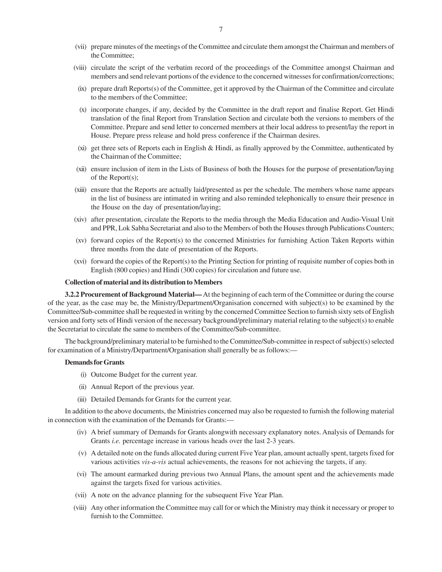- (viii) circulate the script of the verbatim record of the proceedings of the Committee amongst Chairman and members and send relevant portions of the evidence to the concerned witnesses for confirmation/corrections;
- (ix) prepare draft Reports(s) of the Committee, get it approved by the Chairman of the Committee and circulate to the members of the Committee;
- (x) incorporate changes, if any, decided by the Committee in the draft report and finalise Report. Get Hindi translation of the final Report from Translation Section and circulate both the versions to members of the Committee. Prepare and send letter to concerned members at their local address to present/lay the report in House. Prepare press release and hold press conference if the Chairman desires.
- $(xi)$  get three sets of Reports each in English & Hindi, as finally approved by the Committee, authenticated by the Chairman of the Committee;
- (xii) ensure inclusion of item in the Lists of Business of both the Houses for the purpose of presentation/laying of the Report(s);
- (xiii) ensure that the Reports are actually laid/presented as per the schedule. The members whose name appears in the list of business are intimated in writing and also reminded telephonically to ensure their presence in the House on the day of presentation/laying;
- (xiv) after presentation, circulate the Reports to the media through the Media Education and Audio-Visual Unit and PPR, Lok Sabha Secretariat and also to the Members of both the Houses through Publications Counters;
- (xv) forward copies of the Report(s) to the concerned Ministries for furnishing Action Taken Reports within three months from the date of presentation of the Reports.
- (xvi) forward the copies of the Report(s) to the Printing Section for printing of requisite number of copies both in English (800 copies) and Hindi (300 copies) for circulation and future use.

#### **Collection of material and its distribution to Members**

**3.2.2 Procurement of Background Material—** At the beginning of each term of the Committee or during the course of the year, as the case may be, the Ministry/Department/Organisation concerned with subject(s) to be examined by the Committee/Sub-committee shall be requested in writing by the concerned Committee Section to furnish sixty sets of English version and forty sets of Hindi version of the necessary background/preliminary material relating to the subject(s) to enable the Secretariat to circulate the same to members of the Committee/Sub-committee.

The background/preliminary material to be furnished to the Committee/Sub-committee in respect of subject(s) selected for examination of a Ministry/Department/Organisation shall generally be as follows:—

#### **Demands for Grants**

- (i) Outcome Budget for the current year.
- (ii) Annual Report of the previous year.
- (iii) Detailed Demands for Grants for the current year.

In addition to the above documents, the Ministries concerned may also be requested to furnish the following material in connection with the examination of the Demands for Grants:—

- (iv) A brief summary of Demands for Grants alongwith necessary explanatory notes. Analysis of Demands for Grants *i.e.* percentage increase in various heads over the last 2-3 years.
- (v) A detailed note on the funds allocated during current Five Year plan, amount actually spent, targets fixed for various activities *vis-a-vis* actual achievements, the reasons for not achieving the targets, if any.
- (vi) The amount earmarked during previous two Annual Plans, the amount spent and the achievements made against the targets fixed for various activities.
- (vii) A note on the advance planning for the subsequent Five Year Plan.
- (viii) Any other information the Committee may call for or which the Ministry may think it necessary or proper to furnish to the Committee.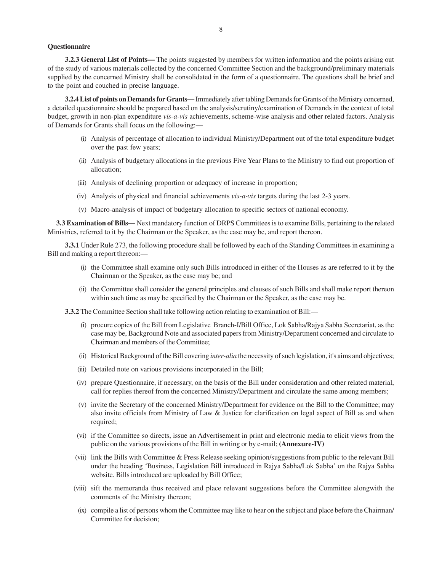#### **Questionnaire**

**3.2.3 General List of Points—** The points suggested by members for written information and the points arising out of the study of various materials collected by the concerned Committee Section and the background/preliminary materials supplied by the concerned Ministry shall be consolidated in the form of a questionnaire. The questions shall be brief and to the point and couched in precise language.

**3.2.4 List of points on Demands for Grants—** Immediately after tabling Demands for Grants of the Ministry concerned, a detailed questionnaire should be prepared based on the analysis/scrutiny/examination of Demands in the context of total budget, growth in non-plan expenditure *vis-a-vis* achievements, scheme-wise analysis and other related factors. Analysis of Demands for Grants shall focus on the following:—

- (i) Analysis of percentage of allocation to individual Ministry/Department out of the total expenditure budget over the past few years;
- (ii) Analysis of budgetary allocations in the previous Five Year Plans to the Ministry to find out proportion of allocation;
- (iii) Analysis of declining proportion or adequacy of increase in proportion;
- (iv) Analysis of physical and financial achievements *vis-a-vis* targets during the last 2-3 years.
- (v) Macro-analysis of impact of budgetary allocation to specific sectors of national economy.

**3.3 Examination of Bills—** Next mandatory function of DRPS Committees is to examine Bills, pertaining to the related Ministries, referred to it by the Chairman or the Speaker, as the case may be, and report thereon.

**3.3.1** Under Rule 273, the following procedure shall be followed by each of the Standing Committees in examining a Bill and making a report thereon:—

- (i) the Committee shall examine only such Bills introduced in either of the Houses as are referred to it by the Chairman or the Speaker, as the case may be; and
- (ii) the Committee shall consider the general principles and clauses of such Bills and shall make report thereon within such time as may be specified by the Chairman or the Speaker, as the case may be.

**3.3.2** The Committee Section shall take following action relating to examination of Bill:—

- (i) procure copies of the Bill from Legislative Branch-I/Bill Office, Lok Sabha/Rajya Sabha Secretariat, as the case may be, Background Note and associated papers from Ministry/Department concerned and circulate to Chairman and members of the Committee;
- (ii) Historical Background of the Bill covering *inter-alia* the necessity of such legislation, it's aims and objectives;
- (iii) Detailed note on various provisions incorporated in the Bill;
- (iv) prepare Questionnaire, if necessary, on the basis of the Bill under consideration and other related material, call for replies thereof from the concerned Ministry/Department and circulate the same among members;
- (v) invite the Secretary of the concerned Ministry/Department for evidence on the Bill to the Committee; may also invite officials from Ministry of Law & Justice for clarification on legal aspect of Bill as and when required;
- (vi) if the Committee so directs, issue an Advertisement in print and electronic media to elicit views from the public on the various provisions of the Bill in writing or by e-mail; **(Annexure-IV)**
- (vii) link the Bills with Committee & Press Release seeking opinion/suggestions from public to the relevant Bill under the heading 'Business, Legislation Bill introduced in Rajya Sabha/Lok Sabha' on the Rajya Sabha website. Bills introduced are uploaded by Bill Office;
- (viii) sift the memoranda thus received and place relevant suggestions before the Committee alongwith the comments of the Ministry thereon;
- (ix) compile a list of persons whom the Committee may like to hear on the subject and place before the Chairman/ Committee for decision;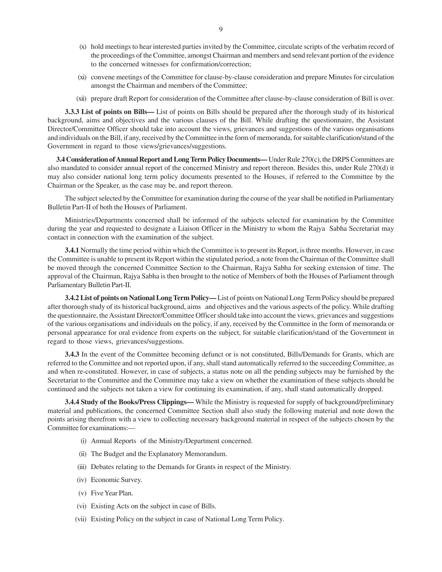- (x) hold meetings to hear interested parties invited by the Committee, circulate scripts of the verbatim record of the proceedings of the Committee, amongst Chairman and members and send relevant portion of the evidence to the concerned witnesses for confirmation/correction;
- (xi) convene meetings of the Committee for clause-by-clause consideration and prepare Minutes for circulation amongst the Chairman and members of the Committee;
- (xii) prepare draft Report for consideration of the Committee after clause-by-clause consideration of Bill is over.

**3.3.3 List of points on Bills—** List of points on Bills should be prepared after the thorough study of its historical background, aims and objectives and the various clauses of the Bill. While drafting the questionnaire, the Assistant Director/Committee Officer should take into account the views, grievances and suggestions of the various organisations and individuals on the Bill, if any, received by the Committee in the form of memoranda, for suitable clarification/stand of the Government in regard to those views/grievances/suggestions.

**3.4 Consideration of Annual Report and Long Term Policy Documents—** Under Rule 270(c), the DRPS Committees are also mandated to consider annual report of the concerned Ministry and report thereon. Besides this, under Rule 270(d) it may also consider national long term policy documents presented to the Houses, if referred to the Committee by the Chairman or the Speaker, as the case may be, and report thereon.

The subject selected by the Committee for examination during the course of the year shall be notified in Parliamentary Bulletin Part-II of both the Houses of Parliament.

Ministries/Departments concerned shall be informed of the subjects selected for examination by the Committee during the year and requested to designate a Liaison Officer in the Ministry to whom the Rajya Sabha Secretariat may contact in connection with the examination of the subject.

**3.4.1** Normally the time period within which the Committee is to present its Report, is three months. However, in case the Committee is unable to present its Report within the stipulated period, a note from the Chairman of the Committee shall be moved through the concerned Committee Section to the Chairman, Rajya Sabha for seeking extension of time. The approval of the Chairman, Rajya Sabha is then brought to the notice of Members of both the Houses of Parliament through Parliamentary Bulletin Part-II.

**3.4.2 List of points on National Long Term Policy—** List of points on National Long Term Policy should be prepared after thorough study of its historical background, aims and objectives and the various aspects of the policy. While drafting the questionnaire, the Assistant Director/Committee Officer should take into account the views, grievances and suggestions of the various organisations and individuals on the policy, if any, received by the Committee in the form of memoranda or personal appearance for oral evidence from experts on the subject, for suitable clarification/stand of the Government in regard to those views, grievances/suggestions.

**3.4.3** In the event of the Committee becoming defunct or is not constituted, Bills/Demands for Grants, which are referred to the Committee and not reported upon, if any, shall stand automatically referred to the succeeding Committee, as and when re-constituted. However, in case of subjects, a status note on all the pending subjects may be furnished by the Secretariat to the Committee and the Committee may take a view on whether the examination of these subjects should be continued and the subjects not taken a view for continuing its examination, if any, shall stand automatically dropped.

**3.4.4 Study of the Books/Press Clippings—** While the Ministry is requested for supply of background/preliminary material and publications, the concerned Committee Section shall also study the following material and note down the points arising therefrom with a view to collecting necessary background material in respect of the subjects chosen by the Committee for examinations:—

- (i) Annual Reports of the Ministry/Department concerned.
- (ii) The Budget and the Explanatory Memorandum.
- (iii) Debates relating to the Demands for Grants in respect of the Ministry.
- (iv) Economic Survey.
- (v) Five Year Plan.
- (vi) Existing Acts on the subject in case of Bills.
- (vii) Existing Policy on the subject in case of National Long Term Policy.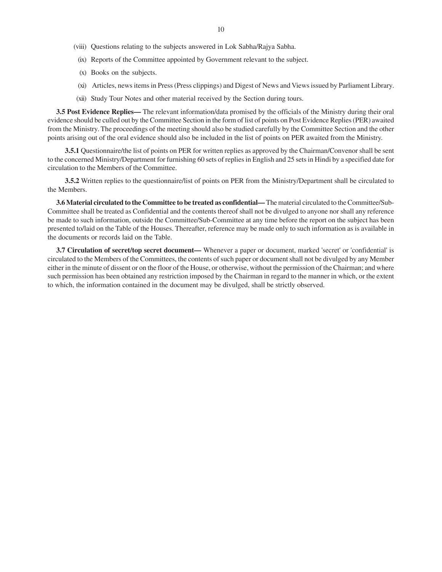- (viii) Questions relating to the subjects answered in Lok Sabha/Rajya Sabha.
- (ix) Reports of the Committee appointed by Government relevant to the subject.
- (x) Books on the subjects.
- (xi) Articles, news items in Press (Press clippings) and Digest of News and Views issued by Parliament Library.
- (xii) Study Tour Notes and other material received by the Section during tours.

**3.5 Post Evidence Replies—** The relevant information/data promised by the officials of the Ministry during their oral evidence should be culled out by the Committee Section in the form of list of points on Post Evidence Replies (PER) awaited from the Ministry. The proceedings of the meeting should also be studied carefully by the Committee Section and the other points arising out of the oral evidence should also be included in the list of points on PER awaited from the Ministry.

**3.5.1** Questionnaire/the list of points on PER for written replies as approved by the Chairman/Convenor shall be sent to the concerned Ministry/Department for furnishing 60 sets of replies in English and 25 sets in Hindi by a specified date for circulation to the Members of the Committee.

**3.5.2** Written replies to the questionnaire/list of points on PER from the Ministry/Department shall be circulated to the Members.

**3.6 Material circulated to the Committee to be treated as confidential—** The material circulated to the Committee/Sub-Committee shall be treated as Confidential and the contents thereof shall not be divulged to anyone nor shall any reference be made to such information, outside the Committee/Sub-Committee at any time before the report on the subject has been presented to/laid on the Table of the Houses. Thereafter, reference may be made only to such information as is available in the documents or records laid on the Table.

**3.7 Circulation of secret/top secret document—** Whenever a paper or document, marked 'secret' or 'confidential' is circulated to the Members of the Committees, the contents of such paper or document shall not be divulged by any Member either in the minute of dissent or on the floor of the House, or otherwise, without the permission of the Chairman; and where such permission has been obtained any restriction imposed by the Chairman in regard to the manner in which, or the extent to which, the information contained in the document may be divulged, shall be strictly observed.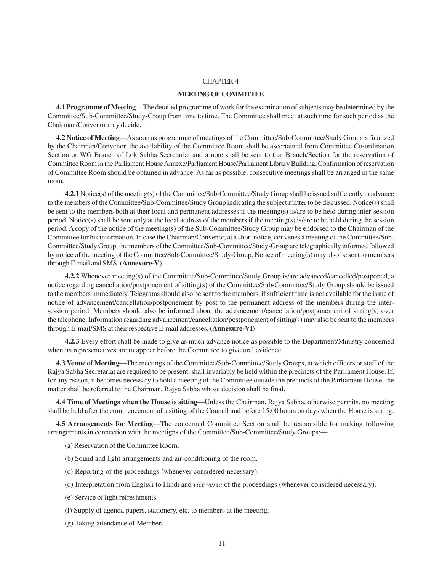#### **MEETING OF COMMITTEE**

**4.1 Programme of Meeting**—The detailed programme of work for the examination of subjects may be determined by the Committee/Sub-Committee/Study-Group from time to time. The Committee shall meet at such time for such period as the Chairman/Convenor may decide.

**4.2 Notice of Meeting**—As soon as programme of meetings of the Committee/Sub-Committee/Study Group is finalized by the Chairman/Convenor, the availability of the Committee Room shall be ascertained from Committee Co-ordination Section or WG Branch of Lok Sabha Secretariat and a note shall be sent to that Branch/Section for the reservation of Committee Room in the Parliament House Annexe/Parliament House/Parliament Library Building. Confirmation of reservation of Committee Room should be obtained in advance. As far as possible, consecutive meetings shall be arranged in the same room.

**4.2.1** Notice(s) of the meeting(s) of the Committee/Sub-Committee/Study Group shall be issued sufficiently in advance to the members of the Committee/Sub-Committee/Study Group indicating the subject matter to be discussed. Notice(s) shall be sent to the members both at their local and permanent addresses if the meeting(s) is/are to be held during inter-session period. Notice(s) shall be sent only at the local address of the members if the meeting(s) is/are to be held during the session period. A copy of the notice of the meeting(s) of the Sub-Committee/Study Group may be endorsed to the Chairman of the Committee for his information. In case the Chairman/Convenor, at a short notice, convenes a meeting of the Committee/Sub-Committee/Study Group, the members of the Committee/Sub-Committee/Study-Group are telegraphically informed followed by notice of the meeting of the Committee/Sub-Committee/Study-Group. Notice of meeting(s) may also be sent to members through E-mail and SMS. (**Annexure-V**)

**4.2.2** Whenever meeting(s) of the Committee/Sub-Committee/Study Group is/are advanced/cancelled/postponed, a notice regarding cancellation/postponement of sitting(s) of the Committee/Sub-Committee/Study Group should be issued to the members immediately. Telegrams should also be sent to the members, if sufficient time is not available for the issue of notice of advancement/cancellation/postponement by post to the permanent address of the members during the intersession period. Members should also be informed about the advancement/cancellation/postponement of sitting(s) over the telephone. Information regarding advancement/cancellation/postponement of sitting(s) may also be sent to the members through E-mail/SMS at their respective E-mail addresses. (**Annexure-VI**)

**4.2.3** Every effort shall be made to give as much advance notice as possible to the Department/Ministry concerned when its representatives are to appear before the Committee to give oral evidence.

**4.3 Venue of Meeting**—The meetings of the Committee/Sub-Committee/Study Groups, at which officers or staff of the Rajya Sabha Secretariat are required to be present, shall invariably be held within the precincts of the Parliament House. If, for any reason, it becomes necessary to hold a meeting of the Committee outside the precincts of the Parliament House, the matter shall be referred to the Chairman, Rajya Sabha whose decision shall be final.

**4.4 Time of Meetings when the House is sitting**—Unless the Chairman, Rajya Sabha, otherwise permits, no meeting shall be held after the commencement of a sitting of the Council and before 15:00 hours on days when the House is sitting.

**4.5 Arrangements for Meeting**—The concerned Committee Section shall be responsible for making following arrangements in connection with the meetigns of the Committee/Sub-Committee/Study Groups:—

- (a) Reservation of the Committee Room.
- (b) Sound and light arrangements and air-conditioning of the room.
- (c) Reporting of the proceedings (whenever considered necessary).
- (d) Interpretation from English to Hindi and *vice versa* of the proceedings (whenever considered necessary).
- (e) Service of light refreshments.
- (f) Supply of agenda papers, stationery, etc. to members at the meeting.
- (g) Taking attendance of Members.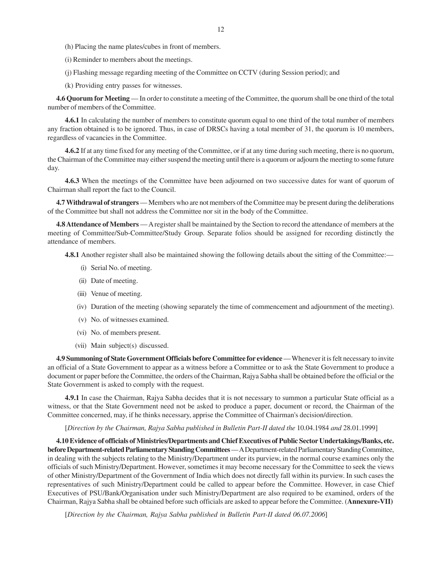- (h) Placing the name plates/cubes in front of members.
- (i) Reminder to members about the meetings.
- (j) Flashing message regarding meeting of the Committee on CCTV (during Session period); and
- (k) Providing entry passes for witnesses.

**4.6 Quorum for Meeting** — In order to constitute a meeting of the Committee, the quorum shall be one third of the total number of members of the Committee.

**4.6.1** In calculating the number of members to constitute quorum equal to one third of the total number of members any fraction obtained is to be ignored. Thus, in case of DRSCs having a total member of 31, the quorum is 10 members, regardless of vacancies in the Committee.

**4.6.2** If at any time fixed for any meeting of the Committee, or if at any time during such meeting, there is no quorum, the Chairman of the Committee may either suspend the meeting until there is a quorum or adjourn the meeting to some future day.

**4.6.3** When the meetings of the Committee have been adjourned on two successive dates for want of quorum of Chairman shall report the fact to the Council.

**4.7 Withdrawal of strangers** — Members who are not members of the Committee may be present during the deliberations of the Committee but shall not address the Committee nor sit in the body of the Committee.

**4.8 Attendance of Members** — A register shall be maintained by the Section to record the attendance of members at the meeting of Committee/Sub-Committee/Study Group. Separate folios should be assigned for recording distinctly the attendance of members.

**4.8.1** Another register shall also be maintained showing the following details about the sitting of the Committee:—

- (i) Serial No. of meeting.
- (ii) Date of meeting.
- (iii) Venue of meeting.
- (iv) Duration of the meeting (showing separately the time of commencement and adjournment of the meeting).
- (v) No. of witnesses examined.
- (vi) No. of members present.
- (vii) Main subject(s) discussed.

**4.9 Summoning of State Government Officials before Committee for evidence** — Whenever it is felt necessary to invite an official of a State Government to appear as a witness before a Committee or to ask the State Government to produce a document or paper before the Committee, the orders of the Chairman, Rajya Sabha shall be obtained before the official or the State Government is asked to comply with the request.

**4.9.1** In case the Chairman, Rajya Sabha decides that it is not necessary to summon a particular State official as a witness, or that the State Government need not be asked to produce a paper, document or record, the Chairman of the Committee concerned, may, if he thinks necessary, apprise the Committee of Chairman's decision/direction.

#### [*Direction by the Chairman, Rajya Sabha published in Bulletin Part-II dated the* 10.04.1984 *and* 28.01.1999]

**4.10 Evidence of officials of Ministries/Departments and Chief Executives of Public Sector Undertakings/Banks, etc. before Department-related Parliamentary Standing Committees** — A Department-related Parliamentary Standing Committee, in dealing with the subjects relating to the Ministry/Department under its purview, in the normal course examines only the officials of such Ministry/Department. However, sometimes it may become necessary for the Committee to seek the views of other Ministry/Department of the Government of India which does not directly fall within its purview. In such cases the representatives of such Ministry/Department could be called to appear before the Committee. However, in case Chief Executives of PSU/Bank/Organisation under such Ministry/Department are also required to be examined, orders of the Chairman, Rajya Sabha shall be obtained before such officials are asked to appear before the Committee. (**Annexure-VII)**

[*Direction by the Chairman, Rajya Sabha published in Bulletin Part-II dated 06.07.2006*]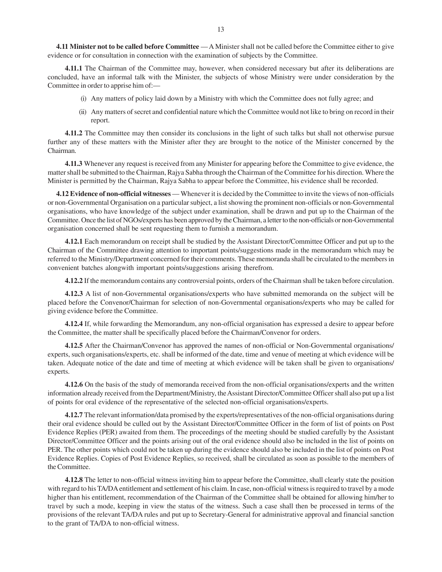**4.11 Minister not to be called before Committee** — A Minister shall not be called before the Committee either to give evidence or for consultation in connection with the examination of subjects by the Committee.

**4.11.1** The Chairman of the Committee may, however, when considered necessary but after its deliberations are concluded, have an informal talk with the Minister, the subjects of whose Ministry were under consideration by the Committee in order to apprise him of:—

- (i) Any matters of policy laid down by a Ministry with which the Committee does not fully agree; and
- (ii) Any matters of secret and confidential nature which the Committee would not like to bring on record in their report.

**4.11.2** The Committee may then consider its conclusions in the light of such talks but shall not otherwise pursue further any of these matters with the Minister after they are brought to the notice of the Minister concerned by the Chairman.

**4.11.3** Whenever any request is received from any Minister for appearing before the Committee to give evidence, the matter shall be submitted to the Chairman, Rajya Sabha through the Chairman of the Committee for his direction. Where the Minister is permitted by the Chairman, Rajya Sabha to appear before the Committee, his evidence shall be recorded.

**4.12 Evidence of non-official witnesses** — Whenever it is decided by the Committee to invite the views of non-officials or non-Governmental Organisation on a particular subject, a list showing the prominent non-officials or non-Governmental organisations, who have knowledge of the subject under examination, shall be drawn and put up to the Chairman of the Committee. Once the list of NGOs/experts has been approved by the Chairman, a letter to the non-officials or non-Governmental organisation concerned shall be sent requesting them to furnish a memorandum.

**4.12.1** Each memorandum on receipt shall be studied by the Assistant Director/Committee Officer and put up to the Chairman of the Committee drawing attention to important points/suggestions made in the memorandum which may be referred to the Ministry/Department concerned for their comments. These memoranda shall be circulated to the members in convenient batches alongwith important points/suggestions arising therefrom.

**4.12.2** If the memorandum contains any controversial points, orders of the Chairman shall be taken before circulation.

**4.12.3** A list of non-Governmental organisations/experts who have submitted memoranda on the subject will be placed before the Convenor/Chairman for selection of non-Governmental organisations/experts who may be called for giving evidence before the Committee.

**4.12.4** If, while forwarding the Memorandum, any non-official organisation has expressed a desire to appear before the Committee, the matter shall be specifically placed before the Chairman/Convenor for orders.

**4.12.5** After the Chairman/Convenor has approved the names of non-official or Non-Governmental organisations/ experts, such organisations/experts, etc. shall be informed of the date, time and venue of meeting at which evidence will be taken. Adequate notice of the date and time of meeting at which evidence will be taken shall be given to organisations/ experts.

**4.12.6** On the basis of the study of memoranda received from the non-official organisations/experts and the written information already received from the Department/Ministry, the Assistant Director/Committee Officer shall also put up a list of points for oral evidence of the representative of the selected non-official organisations/experts.

**4.12.7** The relevant information/data promised by the experts/representatives of the non-official organisations during their oral evidence should be culled out by the Assistant Director/Committee Officer in the form of list of points on Post Evidence Replies (PER) awaited from them. The proceedings of the meeting should be studied carefully by the Assistant Director/Committee Officer and the points arising out of the oral evidence should also be included in the list of points on PER. The other points which could not be taken up during the evidence should also be included in the list of points on Post Evidence Replies. Copies of Post Evidence Replies, so received, shall be circulated as soon as possible to the members of the Committee.

**4.12.8** The letter to non-official witness inviting him to appear before the Committee, shall clearly state the position with regard to his TA/DA entitlement and settlement of his claim. In case, non-official witness is required to travel by a mode higher than his entitlement, recommendation of the Chairman of the Committee shall be obtained for allowing him/her to travel by such a mode, keeping in view the status of the witness. Such a case shall then be processed in terms of the provisions of the relevant TA/DA rules and put up to Secretary-General for administrative approval and financial sanction to the grant of TA/DA to non-official witness.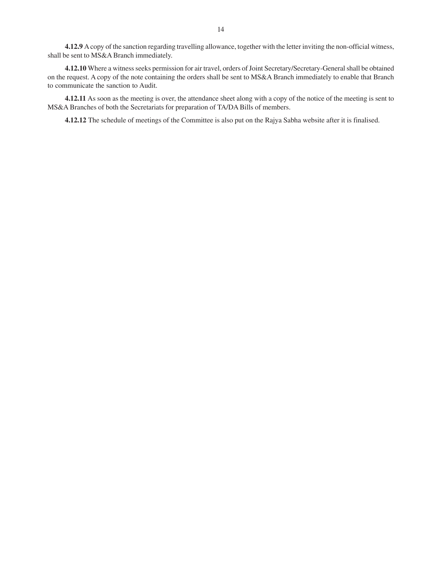**4.12.9** A copy of the sanction regarding travelling allowance, together with the letter inviting the non-official witness, shall be sent to MS&A Branch immediately.

**4.12.10** Where a witness seeks permission for air travel, orders of Joint Secretary/Secretary-General shall be obtained on the request. A copy of the note containing the orders shall be sent to MS&A Branch immediately to enable that Branch to communicate the sanction to Audit.

**4.12.11** As soon as the meeting is over, the attendance sheet along with a copy of the notice of the meeting is sent to MS&A Branches of both the Secretariats for preparation of TA/DA Bills of members.

**4.12.12** The schedule of meetings of the Committee is also put on the Rajya Sabha website after it is finalised.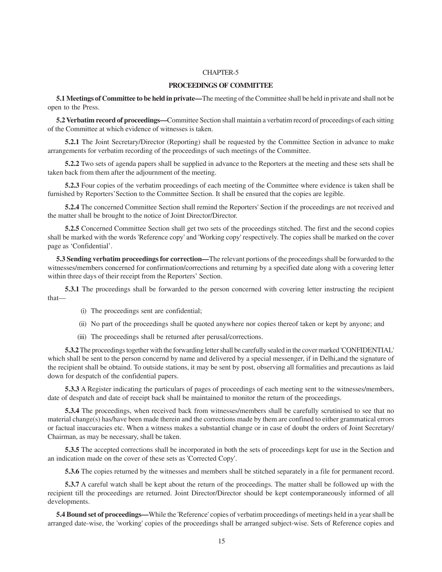#### **PROCEEDINGS OF COMMITTEE**

**5.1 Meetings of Committee to be held in private—**The meeting of the Committee shall be held in private and shall not be open to the Press.

**5.2 Verbatim record of proceedings—**Committee Section shall maintain a verbatim record of proceedings of each sitting of the Committee at which evidence of witnesses is taken.

**5.2.1** The Joint Secretary/Director (Reporting) shall be requested by the Committee Section in advance to make arrangements for verbatim recording of the proceedings of such meetings of the Committee.

**5.2.2** Two sets of agenda papers shall be supplied in advance to the Reporters at the meeting and these sets shall be taken back from them after the adjournment of the meeting.

**5.2.3** Four copies of the verbatim proceedings of each meeting of the Committee where evidence is taken shall be furnished by Reporters'Section to the Committee Section. It shall be ensured that the copies are legible.

**5.2.4** The concerned Committee Section shall remind the Reporters' Section if the proceedings are not received and the matter shall be brought to the notice of Joint Director/Director.

**5.2.5** Concerned Committee Section shall get two sets of the proceedings stitched. The first and the second copies shall be marked with the words 'Reference copy' and 'Working copy' respectively. The copies shall be marked on the cover page as 'Confidential'.

**5.3 Sending verbatim proceedings for correction—**The relevant portions of the proceedings shall be forwarded to the witnesses/members concerned for confirmation/corrections and returning by a specified date along with a covering letter within three days of their receipt from the Reporters' Section.

**5.3.1** The proceedings shall be forwarded to the person concerned with covering letter instructing the recipient that—

- (i) The proceedings sent are confidential;
- (ii) No part of the proceedings shall be quoted anywhere nor copies thereof taken or kept by anyone; and
- (iii) The proceedings shall be returned after perusal/corrections.

**5.3.2** The proceedings together with the forwarding letter shall be carefully sealed in the cover marked 'CONFIDENTIAL' which shall be sent to the person concernd by name and delivered by a special messenger, if in Delhi, and the signature of the recipient shall be obtaind. To outside stations, it may be sent by post, observing all formalities and precautions as laid down for despatch of the confidential papers.

**5.3.3** A Register indicating the particulars of pages of proceedings of each meeting sent to the witnesses/members, date of despatch and date of receipt back shall be maintained to monitor the return of the proceedings.

**5.3.4** The proceedings, when received back from witnesses/members shall be carefully scrutinised to see that no material change(s) has/have been made therein and the corrections made by them are confined to either grammatical errors or factual inaccuracies etc. When a witness makes a substantial change or in case of doubt the orders of Joint Secretary/ Chairman, as may be necessary, shall be taken.

**5.3.5** The accepted corrections shall be incorporated in both the sets of proceedings kept for use in the Section and an indication made on the cover of these sets as 'Corrected Copy'.

**5.3.6** The copies returned by the witnesses and members shall be stitched separately in a file for permanent record.

**5.3.7** A careful watch shall be kept about the return of the proceedings. The matter shall be followed up with the recipient till the proceedings are returned. Joint Director/Director should be kept contemporaneously informed of all developments.

**5.4 Bound set of proceedings—**While the 'Reference' copies of verbatim proceedings of meetings held in a year shall be arranged date-wise, the 'working' copies of the proceedings shall be arranged subject-wise. Sets of Reference copies and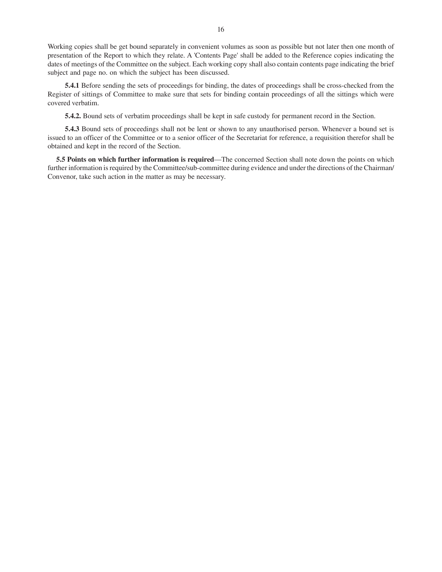Working copies shall be get bound separately in convenient volumes as soon as possible but not later then one month of presentation of the Report to which they relate. A 'Contents Page' shall be added to the Reference copies indicating the dates of meetings of the Committee on the subject. Each working copy shall also contain contents page indicating the brief subject and page no. on which the subject has been discussed.

**5.4.1** Before sending the sets of proceedings for binding, the dates of proceedings shall be cross-checked from the Register of sittings of Committee to make sure that sets for binding contain proceedings of all the sittings which were covered verbatim.

**5.4.2.** Bound sets of verbatim proceedings shall be kept in safe custody for permanent record in the Section.

**5.4.3** Bound sets of proceedings shall not be lent or shown to any unauthorised person. Whenever a bound set is issued to an officer of the Committee or to a senior officer of the Secretariat for reference, a requisition therefor shall be obtained and kept in the record of the Section.

**5.5 Points on which further information is required**—The concerned Section shall note down the points on which further information is required by the Committee/sub-committee during evidence and under the directions of the Chairman/ Convenor, take such action in the matter as may be necessary.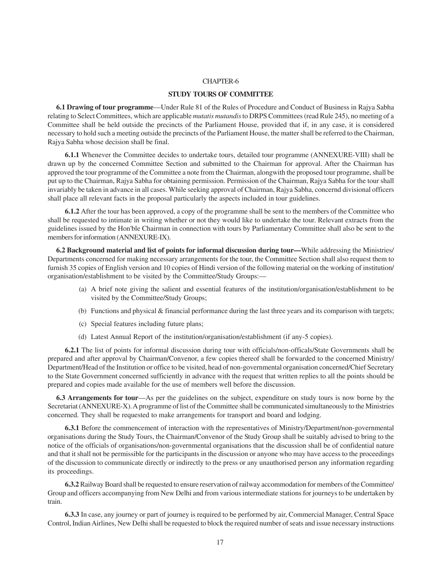#### **STUDY TOURS OF COMMITTEE**

**6.1 Drawing of tour programme**—Under Rule 81 of the Rules of Procedure and Conduct of Business in Rajya Sabha relating to Select Committees, which are applicable *mutatis mutandis* to DRPS Committees (read Rule 245), no meeting of a Committee shall be held outside the precincts of the Parliament House, provided that if, in any case, it is considered necessary to hold such a meeting outside the precincts of the Parliament House, the matter shall be referred to the Chairman, Rajya Sabha whose decision shall be final.

**6.1.1** Whenever the Committee decides to undertake tours, detailed tour programme (ANNEXURE-VIII) shall be drawn up by the concerned Committee Section and submitted to the Chairman for approval. After the Chairman has approved the tour programme of the Committee a note from the Chairman, alongwith the proposed tour programme, shall be put up to the Chairman, Rajya Sabha for obtaining permission. Permission of the Chairman, Rajya Sabha for the tour shall invariably be taken in advance in all cases. While seeking approval of Chairman, Rajya Sabha, concernd divisional officers shall place all relevant facts in the proposal particularly the aspects included in tour guidelines.

**6.1.2** After the tour has been approved, a copy of the programme shall be sent to the members of the Committee who shall be requested to intimate in writing whether or not they would like to undertake the tour. Relevant extracts from the guidelines issued by the Hon'ble Chairman in connection with tours by Parliamentary Committee shall also be sent to the members for information (ANNEXURE-IX).

**6.2 Background material and list of points for informal discussion during tour—**While addressing the Ministries/ Departments concerned for making necessary arrangements for the tour, the Committee Section shall also request them to furnish 35 copies of English version and 10 copies of Hindi version of the following material on the working of institution/ organisation/establishment to be visited by the Committee/Study Groups:—

- (a) A brief note giving the salient and essential features of the institution/organisation/establishment to be visited by the Committee/Study Groups;
- (b) Functions and physical & financial performance during the last three years and its comparison with targets;
- (c) Special features including future plans;
- (d) Latest Annual Report of the institution/organisation/establishment (if any-5 copies).

**6.2.1** The list of points for informal discussion during tour with officials/non-officals/State Governments shall be prepared and after approval by Chairman/Convenor, a few copies thereof shall be forwarded to the concerned Ministry/ Department/Head of the Institution or office to be visited, head of non-governmental organisation concerned/Chief Secretary to the State Government concerned sufficiently in advance with the request that written replies to all the points should be prepared and copies made available for the use of members well before the discussion.

**6.3 Arrangements for tour**—As per the guidelines on the subject, expenditure on study tours is now borne by the Secretariat (ANNEXURE-X). A programme of list of the Committee shall be communicated simultaneously to the Ministries concerned. They shall be requested to make arrangements for transport and board and lodging.

**6.3.1** Before the commencement of interaction with the representatives of Ministry/Department/non-governmental organisations during the Study Tours, the Chairman/Convenor of the Study Group shall be suitably advised to bring to the notice of the officials of organisations/non-governmental organisations that the discussion shall be of confidential nature and that it shall not be permissible for the participants in the discussion or anyone who may have access to the proceedings of the discussion to communicate directly or indirectly to the press or any unauthorised person any information regarding its proceedings.

**6.3.2** Railway Board shall be requested to ensure reservation of railway accommodation for members of the Committee/ Group and officers accompanying from New Delhi and from various intermediate stations for journeys to be undertaken by train.

**6.3.3** In case, any journey or part of journey is required to be performed by air, Commercial Manager, Central Space Control, Indian Airlines, New Delhi shall be requested to block the required number of seats and issue necessary instructions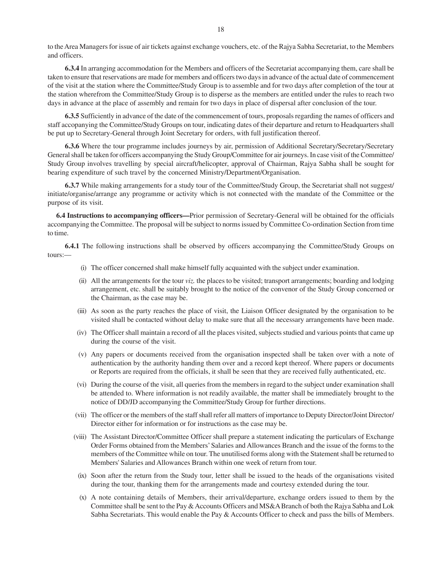to the Area Managers for issue of air tickets against exchange vouchers, etc. of the Rajya Sabha Secretariat, to the Members and officers.

**6.3.4** In arranging accommodation for the Members and officers of the Secretariat accompanying them, care shall be taken to ensure that reservations are made for members and officers two days in advance of the actual date of commencement of the visit at the station where the Committee/Study Group is to assemble and for two days after completion of the tour at the station wherefrom the Committee/Study Group is to disperse as the members are entitled under the rules to reach two days in advance at the place of assembly and remain for two days in place of dispersal after conclusion of the tour.

**6.3.5** Sufficiently in advance of the date of the commencement of tours, proposals regarding the names of officers and staff accopanying the Committee/Study Groups on tour, indicating dates of their departure and return to Headquarters shall be put up to Secretary-General through Joint Secretary for orders, with full justification thereof.

**6.3.6** Where the tour programme includes journeys by air, permission of Additional Secretary/Secretary/Secretary General shall be taken for officers accompanying the Study Group/Committee for air journeys. In case visit of the Committee/ Study Group involves travelling by special aircraft/helicopter, approval of Chairman, Rajya Sabha shall be sought for bearing expenditure of such travel by the concerned Ministry/Department/Organisation.

**6.3.7** While making arrangements for a study tour of the Committee/Study Group, the Secretariat shall not suggest/ initiate/organise/arrange any programme or activity which is not connected with the mandate of the Committee or the purpose of its visit.

**6.4 Instructions to accompanying officers—**Prior permission of Secretary-General will be obtained for the officials accompanying the Committee. The proposal will be subject to norms issued by Committee Co-ordination Section from time to time.

**6.4.1** The following instructions shall be observed by officers accompanying the Committee/Study Groups on tours:—

- (i) The officer concerned shall make himself fully acquainted with the subject under examination.
- (ii) All the arrangements for the tour *viz.* the places to be visited; transport arrangements; boarding and lodging arrangement, etc. shall be suitably brought to the notice of the convenor of the Study Group concerned or the Chairman, as the case may be.
- (iii) As soon as the party reaches the place of visit, the Liaison Officer designated by the organisation to be visited shall be contacted without delay to make sure that all the necessary arrangements have been made.
- (iv) The Officer shall maintain a record of all the places visited, subjects studied and various points that came up during the course of the visit.
- (v) Any papers or documents received from the organisation inspected shall be taken over with a note of authentication by the authority handing them over and a record kept thereof. Where papers or documents or Reports are required from the officials, it shall be seen that they are received fully authenticated, etc.
- (vi) During the course of the visit, all queries from the members in regard to the subject under examination shall be attended to. Where information is not readily available, the matter shall be immediately brought to the notice of DD/JD accompanying the Committee/Study Group for further directions.
- (vii) The officer or the members of the staff shall refer all matters of importance to Deputy Director/Joint Director/ Director either for information or for instructions as the case may be.
- (viii) The Assistant Director/Committee Officer shall prepare a statement indicating the particulars of Exchange Order Forms obtained from the Members' Salaries and Allowances Branch and the issue of the forms to the members of the Committee while on tour. The unutilised forms along with the Statement shall be returned to Members' Salaries and Allowances Branch within one week of return from tour.
- (ix) Soon after the return from the Study tour, letter shall be issued to the heads of the organisations visited during the tour, thanking them for the arrangements made and courtesy extended during the tour.
- (x) A note containing details of Members, their arrival/departure, exchange orders issued to them by the Committee shall be sent to the Pay & Accounts Officers and MS&A Branch of both the Rajya Sabha and Lok Sabha Secretariats. This would enable the Pay & Accounts Officer to check and pass the bills of Members.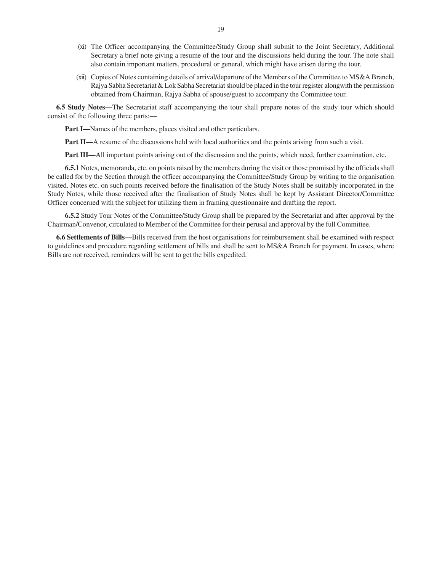- (xi) The Officer accompanying the Committee/Study Group shall submit to the Joint Secretary, Additional Secretary a brief note giving a resume of the tour and the discussions held during the tour. The note shall also contain important matters, procedural or general, which might have arisen during the tour.
- (xii) Copies of Notes containing details of arrival/departure of the Members of the Committee to MS&A Branch, Rajya Sabha Secretariat & Lok Sabha Secretariat should be placed in the tour register alongwith the permission obtained from Chairman, Rajya Sabha of spouse/guest to accompany the Committee tour.

**6.5 Study Notes—**The Secretariat staff accompanying the tour shall prepare notes of the study tour which should consist of the following three parts:—

**Part I—**Names of the members, places visited and other particulars.

**Part II—A** resume of the discussions held with local authorities and the points arising from such a visit.

**Part III—**All important points arising out of the discussion and the points, which need, further examination, etc.

**6.5.1** Notes, memoranda, etc. on points raised by the members during the visit or those promised by the officials shall be called for by the Section through the officer accompanying the Committee/Study Group by writing to the organisation visited. Notes etc. on such points received before the finalisation of the Study Notes shall be suitably incorporated in the Study Notes, while those received after the finalisation of Study Notes shall be kept by Assistant Director/Committee Officer concerned with the subject for utilizing them in framing questionnaire and drafting the report.

**6.5.2** Study Tour Notes of the Committee/Study Group shall be prepared by the Secretariat and after approval by the Chairman/Convenor, circulated to Member of the Committee for their perusal and approval by the full Committee.

**6.6 Settlements of Bills—**Bills received from the host organisations for reimbursement shall be examined with respect to guidelines and procedure regarding settlement of bills and shall be sent to MS&A Branch for payment. In cases, where Bills are not received, reminders will be sent to get the bills expedited.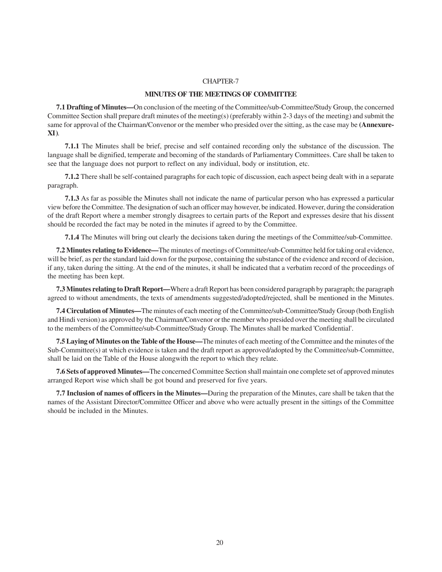#### **MINUTES OF THE MEETINGS OF COMMITTEE**

**7.1 Drafting of Minutes—**On conclusion of the meeting of the Committee/sub-Committee/Study Group, the concerned Committee Section shall prepare draft minutes of the meeting(s) (preferably within 2-3 days of the meeting) and submit the same for approval of the Chairman/Convenor or the member who presided over the sitting, as the case may be **(Annexure-XI)**.

**7.1.1** The Minutes shall be brief, precise and self contained recording only the substance of the discussion. The language shall be dignified, temperate and becoming of the standards of Parliamentary Committees. Care shall be taken to see that the language does not purport to reflect on any individual, body or institution, etc.

**7.1.2** There shall be self-contained paragraphs for each topic of discussion, each aspect being dealt with in a separate paragraph.

**7.1.3** As far as possible the Minutes shall not indicate the name of particular person who has expressed a particular view before the Committee. The designation of such an officer may however, be indicated. However, during the consideration of the draft Report where a member strongly disagrees to certain parts of the Report and expresses desire that his dissent should be recorded the fact may be noted in the minutes if agreed to by the Committee.

**7.1.4** The Minutes will bring out clearly the decisions taken during the meetings of the Committee/sub-Committee.

**7.2 Minutes relating to Evidence—**The minutes of meetings of Committee/sub-Committee held for taking oral evidence, will be brief, as per the standard laid down for the purpose, containing the substance of the evidence and record of decision, if any, taken during the sitting. At the end of the minutes, it shall be indicated that a verbatim record of the proceedings of the meeting has been kept.

**7.3 Minutes relating to Draft Report—**Where a draft Report has been considered paragraph by paragraph; the paragraph agreed to without amendments, the texts of amendments suggested/adopted/rejected, shall be mentioned in the Minutes.

**7.4 Circulation of Minutes—**The minutes of each meeting of the Committee/sub-Committee/Study Group (both English and Hindi version) as approved by the Chairman/Convenor or the member who presided over the meeting shall be circulated to the members of the Committee/sub-Committee/Study Group. The Minutes shall be marked 'Confidential'.

**7.5 Laying of Minutes on the Table of the House—**The minutes of each meeting of the Committee and the minutes of the Sub-Committee(s) at which evidence is taken and the draft report as approved/adopted by the Committee/sub-Committee, shall be laid on the Table of the House alongwith the report to which they relate.

**7.6 Sets of approved Minutes—**The concerned Committee Section shall maintain one complete set of approved minutes arranged Report wise which shall be got bound and preserved for five years.

**7.7 Inclusion of names of officers in the Minutes—**During the preparation of the Minutes, care shall be taken that the names of the Assistant Director/Committee Officer and above who were actually present in the sittings of the Committee should be included in the Minutes.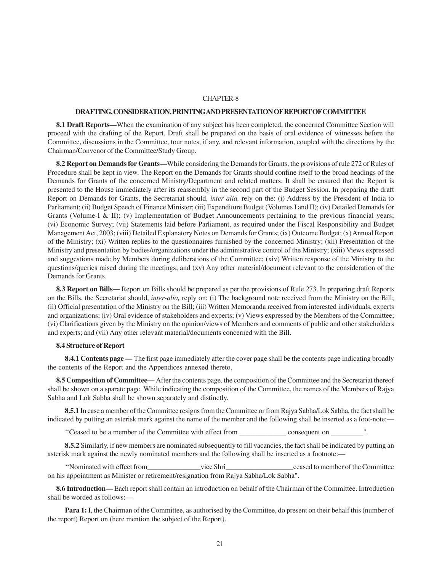#### **DRAFTING, CONSIDERATION, PRINTING AND PRESENTATION OF REPORT OF COMMITTEE**

**8.1 Draft Reports—**When the examination of any subject has been completed, the concerned Committee Section will proceed with the drafting of the Report. Draft shall be prepared on the basis of oral evidence of witnesses before the Committee, discussions in the Committee, tour notes, if any, and relevant information, coupled with the directions by the Chairman/Convenor of the Committee/Study Group.

**8.2 Report on Demands for Grants—**While considering the Demands for Grants, the provisions of rule 272 of Rules of Procedure shall be kept in view. The Report on the Demands for Grants should confine itself to the broad headings of the Demands for Grants of the concerned Ministry/Department and related matters. It shall be ensured that the Report is presented to the House immediately after its reassembly in the second part of the Budget Session. In preparing the draft Report on Demands for Grants, the Secretariat should, *inter alia,* rely on the: (i) Address by the President of India to Parliament; (ii) Budget Speech of Finance Minister; (iii) Expenditure Budget (Volumes I and II); (iv) Detailed Demands for Grants (Volume-I & II); (v) Implementation of Budget Announcements pertaining to the previous financial years; (vi) Economic Survey; (vii) Statements laid before Parliament, as required under the Fiscal Responsibility and Budget Management Act, 2003; (viii) Detailed Explanatory Notes on Demands for Grants; (ix) Outcome Budget; (x) Annual Report of the Ministry; (xi) Written replies to the questionnaires furnished by the concerned Ministry; (xii) Presentation of the Ministry and presentation by bodies/organizations under the administrative control of the Ministry; (xiii) Views expressed and suggestions made by Members during deliberations of the Committee; (xiv) Written response of the Ministry to the questions/queries raised during the meetings; and (xv) Any other material/document relevant to the consideration of the Demands for Grants.

**8.3 Report on Bills—** Report on Bills should be prepared as per the provisions of Rule 273. In preparing draft Reports on the Bills, the Secretariat should, *inter-alia,* reply on: (i) The background note received from the Ministry on the Bill; (ii) Official presentation of the Ministry on the Bill; (iii) Written Memoranda received from interested individuals, experts and organizations; (iv) Oral evidence of stakeholders and experts; (v) Views expressed by the Members of the Committee; (vi) Clarifications given by the Ministry on the opinion/views of Members and comments of public and other stakeholders and experts; and (vii) Any other relevant material/documents concerned with the Bill.

#### **8.4 Structure of Report**

**8.4.1 Contents page —** The first page immediately after the cover page shall be the contents page indicating broadly the contents of the Report and the Appendices annexed thereto.

**8.5 Composition of Committee—** After the contents page, the composition of the Committee and the Secretariat thereof shall be shown on a sparate page. While indicating the composition of the Committee, the names of the Members of Rajya Sabha and Lok Sabha shall be shown separately and distinctly.

**8.5.1** In case a member of the Committee resigns from the Committee or from Rajya Sabha/Lok Sabha, the fact shall be indicated by putting an asterisk mark against the name of the member and the following shall be inserted as a foot-note:—

''Ceased to be a member of the Committee with effect from \_\_\_\_\_\_\_\_\_\_\_\_\_ consequent on \_\_\_\_\_\_\_\_\_".

**8.5.2** Similarly, if new members are nominated subsequently to fill vacancies, the fact shall be indicated by putting an asterisk mark against the newly nominated members and the following shall be inserted as a footnote:—

''Nominated with effect from\_\_\_\_\_\_\_\_\_\_\_\_\_\_\_vice Shri\_\_\_\_\_\_\_\_\_\_\_\_\_\_\_\_\_\_\_ceased to member of the Committee on his appointment as Minister or retirement/resignation from Rajya Sabha/Lok Sabha".

**8.6 Introduction—** Each report shall contain an introduction on behalf of the Chairman of the Committee. Introduction shall be worded as follows:—

**Para 1:** I, the Chairman of the Committee, as authorised by the Committee, do present on their behalf this (number of the report) Report on (here mention the subject of the Report).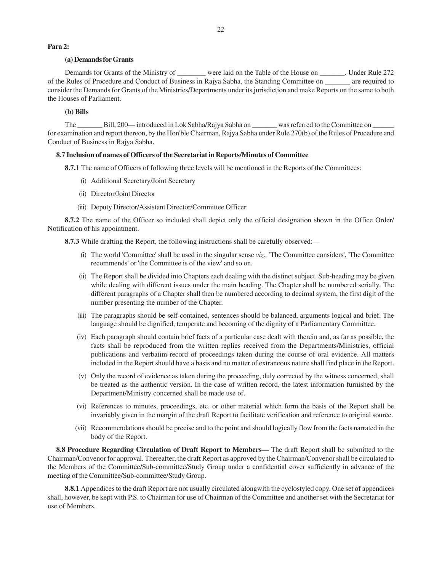#### **Para 2:**

# **(a) Demands for Grants**

Demands for Grants of the Ministry of \_\_\_\_\_\_\_\_ were laid on the Table of the House on \_\_\_\_\_\_\_. Under Rule 272 of the Rules of Procedure and Conduct of Business in Rajya Sabha, the Standing Committee on \_\_\_\_\_\_\_ are required to consider the Demands for Grants of the Ministries/Departments under its jurisdiction and make Reports on the same to both the Houses of Parliament.

#### **(b) Bills**

The \_\_\_\_\_\_\_ Bill, 200— introduced in Lok Sabha/Rajya Sabha on \_\_\_\_\_\_\_ was referred to the Committee on \_ for examination and report thereon, by the Hon'ble Chairman, Rajya Sabha under Rule 270(b) of the Rules of Procedure and Conduct of Business in Rajya Sabha.

#### **8.7 Inclusion of names of Officers of the Secretariat in Reports/Minutes of Committee**

**8.7.1** The name of Officers of following three levels will be mentioned in the Reports of the Committees:

- (i) Additional Secretary/Joint Secretary
- (ii) Director/Joint Director
- (iii) Deputy Director/Assistant Director/Committee Officer

**8.7.2** The name of the Officer so included shall depict only the official designation shown in the Office Order/ Notification of his appointment.

**8.7.3** While drafting the Report, the following instructions shall be carefully observed:—

- (i) The world 'Committee' shall be used in the singular sense *viz.,* 'The Committee considers', 'The Committee recommends' or 'the Committee is of the view' and so on.
- (ii) The Report shall be divided into Chapters each dealing with the distinct subject. Sub-heading may be given while dealing with different issues under the main heading. The Chapter shall be numbered serially. The different paragraphs of a Chapter shall then be numbered according to decimal system, the first digit of the number presenting the number of the Chapter.
- (iii) The paragraphs should be self-contained, sentences should be balanced, arguments logical and brief. The language should be dignified, temperate and becoming of the dignity of a Parliamentary Committee.
- (iv) Each paragraph should contain brief facts of a particular case dealt with therein and, as far as possible, the facts shall be reproduced from the written replies received from the Departments/Ministries, official publications and verbatim record of proceedings taken during the course of oral evidence. All matters included in the Report should have a basis and no matter of extraneous nature shall find place in the Report.
- (v) Only the record of evidence as taken during the proceeding, duly corrected by the witness concerned, shall be treated as the authentic version. In the case of written record, the latest information furnished by the Department/Ministry concerned shall be made use of.
- (vi) References to minutes, proceedings, etc. or other material which form the basis of the Report shall be invariably given in the margin of the draft Report to facilitate verification and reference to original source.
- (vii) Recommendations should be precise and to the point and should logically flow from the facts narrated in the body of the Report.

**8.8 Procedure Regarding Circulation of Draft Report to Members—** The draft Report shall be submitted to the Chairman/Convenor for approval. Thereafter, the draft Report as approved by the Chairman/Convenor shall be circulated to the Members of the Committee/Sub-committee/Study Group under a confidential cover sufficiently in advance of the meeting of the Committee/Sub-committee/Study Group.

**8.8.1** Appendices to the draft Report are not usually circulated alongwith the cyclostyled copy. One set of appendices shall, however, be kept with P.S. to Chairman for use of Chairman of the Committee and another set with the Secretariat for use of Members.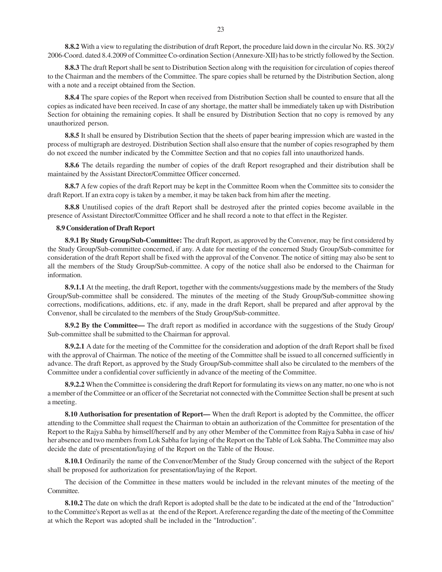**8.8.2** With a view to regulating the distribution of draft Report, the procedure laid down in the circular No. RS. 30(2)/ 2006-Coord. dated 8.4.2009 of Committee Co-ordination Section (Annexure-XII) has to be strictly followed by the Section.

**8.8.3** The draft Report shall be sent to Distribution Section along with the requisition for circulation of copies thereof to the Chairman and the members of the Committee. The spare copies shall be returned by the Distribution Section, along with a note and a receipt obtained from the Section.

**8.8.4** The spare copies of the Report when received from Distribution Section shall be counted to ensure that all the copies as indicated have been received. In case of any shortage, the matter shall be immediately taken up with Distribution Section for obtaining the remaining copies. It shall be ensured by Distribution Section that no copy is removed by any unauthorized person.

**8.8.5** It shall be ensured by Distribution Section that the sheets of paper bearing impression which are wasted in the process of multigraph are destroyed. Distribution Section shall also ensure that the number of copies resographed by them do not exceed the number indicated by the Committee Section and that no copies fall into unauthorized hands.

**8.8.6** The details regarding the number of copies of the draft Report resographed and their distribution shall be maintained by the Assistant Director/Committee Officer concerned.

**8.8.7** A few copies of the draft Report may be kept in the Committee Room when the Committee sits to consider the draft Report. If an extra copy is taken by a member, it may be taken back from him after the meeting.

**8.8.8** Unutilised copies of the draft Report shall be destroyed after the printed copies become available in the presence of Assistant Director/Committee Officer and he shall record a note to that effect in the Register.

#### **8.9 Consideration of Draft Report**

**8.9.1 By Study Group/Sub-Committee:** The draft Report, as approved by the Convenor, may be first considered by the Study Group/Sub-committee concerned, if any. A date for meeting of the concerned Study Group/Sub-committee for consideration of the draft Report shall be fixed with the approval of the Convenor. The notice of sitting may also be sent to all the members of the Study Group/Sub-committee. A copy of the notice shall also be endorsed to the Chairman for information.

**8.9.1.1** At the meeting, the draft Report, together with the comments/suggestions made by the members of the Study Group/Sub-committee shall be considered. The minutes of the meeting of the Study Group/Sub-committee showing corrections, modifications, additions, etc. if any, made in the draft Report, shall be prepared and after approval by the Convenor, shall be circulated to the members of the Study Group/Sub-committee.

**8.9.2 By the Committee—** The draft report as modified in accordance with the suggestions of the Study Group/ Sub-committee shall be submitted to the Chairman for approval.

**8.9.2.1** A date for the meeting of the Committee for the consideration and adoption of the draft Report shall be fixed with the approval of Chairman. The notice of the meeting of the Committee shall be issued to all concerned sufficiently in advance. The draft Report, as approved by the Study Group/Sub-committee shall also be circulated to the members of the Committee under a confidential cover sufficiently in advance of the meeting of the Committee.

**8.9.2.2** When the Committee is considering the draft Report for formulating its views on any matter, no one who is not a member of the Committee or an officer of the Secretariat not connected with the Committee Section shall be present at such a meeting.

**8.10 Authorisation for presentation of Report—** When the draft Report is adopted by the Committee, the officer attending to the Committee shall request the Chairman to obtain an authorization of the Committee for presentation of the Report to the Rajya Sabha by himself/herself and by any other Member of the Committee from Rajya Sabha in case of his/ her absence and two members from Lok Sabha for laying of the Report on the Table of Lok Sabha. The Committee may also decide the date of presentation/laying of the Report on the Table of the House.

**8.10.1** Ordinarily the name of the Convenor/Member of the Study Group concerned with the subject of the Report shall be proposed for authorization for presentation/laying of the Report.

The decision of the Committee in these matters would be included in the relevant minutes of the meeting of the Committee.

**8.10.2** The date on which the draft Report is adopted shall be the date to be indicated at the end of the "Introduction" to the Committee's Report as well as at the end of the Report. A reference regarding the date of the meeting of the Committee at which the Report was adopted shall be included in the "Introduction".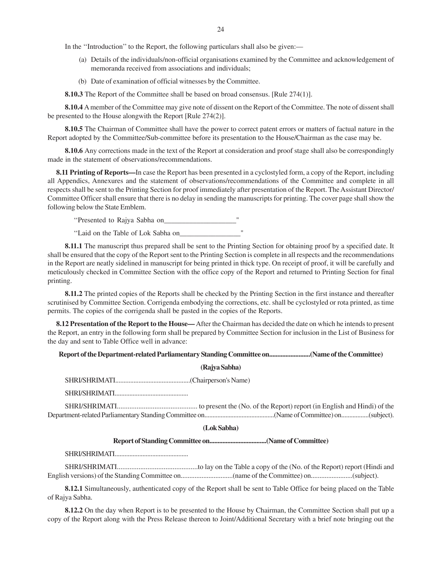In the ''Introduction'' to the Report, the following particulars shall also be given:—

- (a) Details of the individuals/non-official organisations examined by the Committee and acknowledgement of memoranda received from associations and individuals;
- (b) Date of examination of official witnesses by the Committee.

**8.10.3** The Report of the Committee shall be based on broad consensus. [Rule 274(1)].

**8.10.4** A member of the Committee may give note of dissent on the Report of the Committee. The note of dissent shall be presented to the House alongwith the Report [Rule 274(2)].

**8.10.5** The Chairman of Committee shall have the power to correct patent errors or matters of factual nature in the Report adopted by the Committee/Sub-committee before its presentation to the House/Chairman as the case may be.

**8.10.6** Any corrections made in the text of the Report at consideration and proof stage shall also be correspondingly made in the statement of observations/recommendations.

**8.11 Printing of Reports—**In case the Report has been presented in a cyclostyled form, a copy of the Report, including all Appendics, Annexures and the statement of observations/recommendations of the Committee and complete in all respects shall be sent to the Printing Section for proof immediately after presentation of the Report. The Assistant Director/ Committee Officer shall ensure that there is no delay in sending the manuscripts for printing. The cover page shall show the following below the State Emblem.

''Presented to Rajya Sabha on\_\_\_\_\_\_\_\_\_\_\_\_\_\_\_\_\_\_\_\_"

''Laid on the Table of Lok Sabha on\_\_\_\_\_\_\_\_\_\_\_\_\_\_\_\_\_"

**8.11.1** The manuscript thus prepared shall be sent to the Printing Section for obtaining proof by a specified date. It shall be ensured that the copy of the Report sent to the Printing Section is complete in all respects and the recommendations in the Report are neatly sidelined in manuscript for being printed in thick type. On receipt of proof, it will be carefully and meticulously checked in Committee Section with the office copy of the Report and returned to Printing Section for final printing.

**8.11.2** The printed copies of the Reports shall be checked by the Printing Section in the first instance and thereafter scrutinised by Committee Section. Corrigenda embodying the corrections, etc. shall be cyclostyled or rota printed, as time permits. The copies of the corrigenda shall be pasted in the copies of the Reports.

**8.12 Presentation of the Report to the House—** After the Chairman has decided the date on which he intends to present the Report, an entry in the following form shall be prepared by Committee Section for inclusion in the List of Business for the day and sent to Table Office well in advance:

**Report of the Department-related Parliamentary Standing Committee on.........................(Name of the Committee)**

**(Rajya Sabha)**

SHRI/SHRIMATI.............................................(Chairperson's Name)

SHRI/SHRIMATI.............................................

SHRI/SHRIMATI............................................. to present the (No. of the Report) report (in English and Hindi) of the Department-related Parliamentary Standing Committee on...........................................(Name of Committee) on.................(subject).

#### **(Lok Sabha)**

**Report of Standing Committee on...................................(Name of Committee)**

SHRI/SHRIMATI.............................................

SHRI/SHRIMATI.............................................to lay on the Table a copy of the (No. of the Report) report (Hindi and English versions) of the Standing Committee on..............................(name of the Committee) on........................(subject).

**8.12.1** Simultaneously, authenticated copy of the Report shall be sent to Table Office for being placed on the Table of Rajya Sabha.

**8.12.2** On the day when Report is to be presented to the House by Chairman, the Committee Section shall put up a copy of the Report along with the Press Release thereon to Joint/Additional Secretary with a brief note bringing out the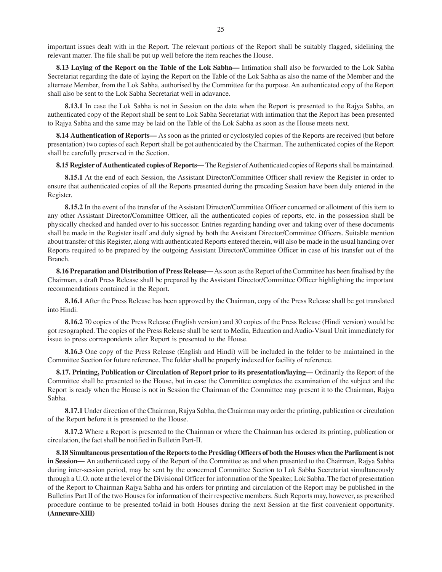important issues dealt with in the Report. The relevant portions of the Report shall be suitably flagged, sidelining the relevant matter. The file shall be put up well before the item reaches the House.

**8.13 Laying of the Report on the Table of the Lok Sabha—** Intimation shall also be forwarded to the Lok Sabha Secretariat regarding the date of laying the Report on the Table of the Lok Sabha as also the name of the Member and the alternate Member, from the Lok Sabha, authorised by the Committee for the purpose. An authenticated copy of the Report shall also be sent to the Lok Sabha Secretariat well in adavance.

**8.13.1** In case the Lok Sabha is not in Session on the date when the Report is presented to the Rajya Sabha, an authenticated copy of the Report shall be sent to Lok Sabha Secretariat with intimation that the Report has been presented to Rajya Sabha and the same may be laid on the Table of the Lok Sabha as soon as the House meets next.

**8.14 Authentication of Reports—** As soon as the printed or cyclostyled copies of the Reports are received (but before presentation) two copies of each Report shall be got authenticated by the Chairman. The authenticated copies of the Report shall be carefully preserved in the Section.

**8.15 Register of Authenticated copies of Reports—** The Register of Authenticated copies of Reports shall be maintained.

**8.15.1** At the end of each Session, the Assistant Director/Committee Officer shall review the Register in order to ensure that authenticated copies of all the Reports presented during the preceding Session have been duly entered in the Register.

**8.15.2** In the event of the transfer of the Assistant Director/Committee Officer concerned or allotment of this item to any other Assistant Director/Committee Officer, all the authenticated copies of reports, etc. in the possession shall be physically checked and handed over to his successor. Entries regarding handing over and taking over of these documents shall be made in the Register itself and duly signed by both the Assistant Director/Committee Officers. Suitable mention about transfer of this Register, along with authenticated Reports entered therein, will also be made in the usual handing over Reports required to be prepared by the outgoing Assistant Director/Committee Officer in case of his transfer out of the Branch.

**8.16 Preparation and Distribution of Press Release—** As soon as the Report of the Committee has been finalised by the Chairman, a draft Press Release shall be prepared by the Assistant Director/Committee Officer highlighting the important recommendations contained in the Report.

**8.16.1** After the Press Release has been approved by the Chairman, copy of the Press Release shall be got translated into Hindi.

**8.16.2** 70 copies of the Press Release (English version) and 30 copies of the Press Release (Hindi version) would be got resographed. The copies of the Press Release shall be sent to Media, Education and Audio-Visual Unit immediately for issue to press correspondents after Report is presented to the House.

**8.16.3** One copy of the Press Release (English and Hindi) will be included in the folder to be maintained in the Committee Section for future reference. The folder shall be properly indexed for facility of reference.

**8.17. Printing, Publication or Circulation of Report prior to its presentation/laying—** Ordinarily the Report of the Committee shall be presented to the House, but in case the Committee completes the examination of the subject and the Report is ready when the House is not in Session the Chairman of the Committee may present it to the Chairman, Rajya Sabha.

**8.17.1** Under direction of the Chairman, Rajya Sabha, the Chairman may order the printing, publication or circulation of the Report before it is presented to the House.

**8.17.2** Where a Report is presented to the Chairman or where the Chairman has ordered its printing, publication or circulation, the fact shall be notified in Bulletin Part-II.

**8.18 Simultaneous presentation of the Reports to the Presiding Officers of both the Houses when the Parliament is not in Session—** An authenticated copy of the Report of the Committee as and when presented to the Chairman, Rajya Sabha during inter-session period, may be sent by the concerned Committee Section to Lok Sabha Secretariat simultaneously through a U.O. note at the level of the Divisional Officer for information of the Speaker, Lok Sabha. The fact of presentation of the Report to Chairman Rajya Sabha and his orders for printing and circulation of the Report may be published in the Bulletins Part II of the two Houses for information of their respective members. Such Reports may, however, as prescribed procedure continue to be presented to/laid in both Houses during the next Session at the first convenient opportunity. **(Annexure-XIII)**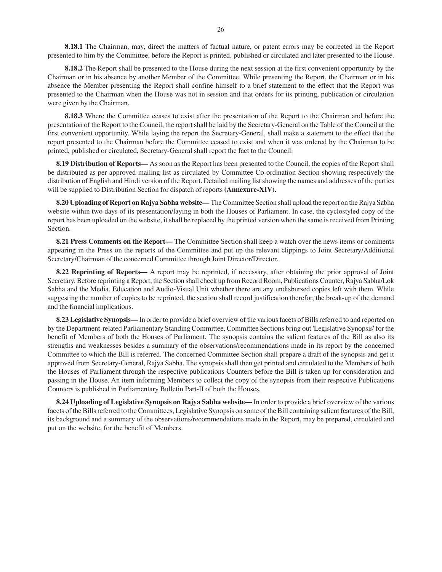**8.18.1** The Chairman, may, direct the matters of factual nature, or patent errors may be corrected in the Report presented to him by the Committee, before the Report is printed, published or circulated and later presented to the House.

**8.18.2** The Report shall be presented to the House during the next session at the first convenient opportunity by the Chairman or in his absence by another Member of the Committee. While presenting the Report, the Chairman or in his absence the Member presenting the Report shall confine himself to a brief statement to the effect that the Report was presented to the Chairman when the House was not in session and that orders for its printing, publication or circulation were given by the Chairman.

**8.18.3** Where the Committee ceases to exist after the presentation of the Report to the Chairman and before the presentation of the Report to the Council, the report shall be laid by the Secretary-General on the Table of the Council at the first convenient opportunity. While laying the report the Secretary-General, shall make a statement to the effect that the report presented to the Chairman before the Committee ceased to exist and when it was ordered by the Chairman to be printed, published or circulated, Secretary-General shall report the fact to the Council.

**8.19 Distribution of Reports—** As soon as the Report has been presented to the Council, the copies of the Report shall be distributed as per approved mailing list as circulated by Committee Co-ordination Section showing respectively the distribution of English and Hindi version of the Report. Detailed mailing list showing the names and addresses of the parties will be supplied to Distribution Section for dispatch of reports **(Annexure-XIV).**

**8.20 Uploading of Report on Rajya Sabha website—** The Committee Section shall upload the report on the Rajya Sabha website within two days of its presentation/laying in both the Houses of Parliament. In case, the cyclostyled copy of the report has been uploaded on the website, it shall be replaced by the printed version when the same is received from Printing Section.

**8.21 Press Comments on the Report—** The Committee Section shall keep a watch over the news items or comments appearing in the Press on the reports of the Committee and put up the relevant clippings to Joint Secretary/Additional Secretary/Chairman of the concerned Committee through Joint Director/Director.

**8.22 Reprinting of Reports—** A report may be reprinted, if necessary, after obtaining the prior approval of Joint Secretary. Before reprinting a Report, the Section shall check up from Record Room, Publications Counter, Rajya Sabha/Lok Sabha and the Media, Education and Audio-Visual Unit whether there are any undisbursed copies left with them. While suggesting the number of copies to be reprinted, the section shall record justification therefor, the break-up of the demand and the financial implications.

**8.23 Legislative Synopsis—** In order to provide a brief overview of the various facets of Bills referred to and reported on by the Department-related Parliamentary Standing Committee, Committee Sections bring out 'Legislative Synopsis' for the benefit of Members of both the Houses of Parliament. The synopsis contains the salient features of the Bill as also its strengths and weaknesses besides a summary of the observations/recommendations made in its report by the concerned Committee to which the Bill is referred. The concerned Committee Section shall prepare a draft of the synopsis and get it approved from Secretary-General, Rajya Sabha. The synopsis shall then get printed and circulated to the Members of both the Houses of Parliament through the respective publications Counters before the Bill is taken up for consideration and passing in the House. An item informing Members to collect the copy of the synopsis from their respective Publications Counters is published in Parliamentary Bulletin Part-II of both the Houses.

**8.24 Uploading of Legislative Synopsis on Rajya Sabha website—** In order to provide a brief overview of the various facets of the Bills referred to the Committees, Legislative Synopsis on some of the Bill containing salient features of the Bill, its background and a summary of the observations/recommendations made in the Report, may be prepared, circulated and put on the website, for the benefit of Members.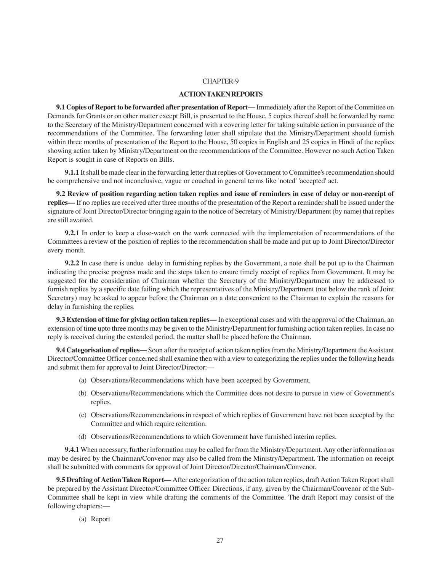#### **ACTION TAKEN REPORTS**

**9.1 Copies of Report to be forwarded after presentation of Report—** Immediately after the Report of the Committee on Demands for Grants or on other matter except Bill, is presented to the House, 5 copies thereof shall be forwarded by name to the Secretary of the Ministry/Department concerned with a covering letter for taking suitable action in pursuance of the recommendations of the Committee. The forwarding letter shall stipulate that the Ministry/Department should furnish within three months of presentation of the Report to the House, 50 copies in English and 25 copies in Hindi of the replies showing action taken by Ministry/Department on the recommendations of the Committee. However no such Action Taken Report is sought in case of Reports on Bills.

**9.1.1** It shall be made clear in the forwarding letter that replies of Government to Committee's recommendation should be comprehensive and not inconclusive, vague or couched in general terms like 'noted' 'accepted' act.

**9.2 Review of position regarding action taken replies and issue of reminders in case of delay or non-receipt of replies—** If no replies are received after three months of the presentation of the Report a reminder shall be issued under the signature of Joint Director/Director bringing again to the notice of Secretary of Ministry/Department (by name) that replies are still awaited.

**9.2.1** In order to keep a close-watch on the work connected with the implementation of recommendations of the Committees a review of the position of replies to the recommendation shall be made and put up to Joint Director/Director every month.

**9.2.2** In case there is undue delay in furnishing replies by the Government, a note shall be put up to the Chairman indicating the precise progress made and the steps taken to ensure timely receipt of replies from Government. It may be suggested for the consideration of Chairman whether the Secretary of the Ministry/Department may be addressed to furnish replies by a specific date failing which the representatives of the Ministry/Department (not below the rank of Joint Secretary) may be asked to appear before the Chairman on a date convenient to the Chairman to explain the reasons for delay in furnishing the replies.

**9.3 Extension of time for giving action taken replies—** In exceptional cases and with the approval of the Chairman, an extension of time upto three months may be given to the Ministry/Department for furnishing action taken replies. In case no reply is received during the extended period, the matter shall be placed before the Chairman.

**9.4 Categorisation of replies—** Soon after the receipt of action taken replies from the Ministry/Department the Assistant Director/Committee Officer concerned shall examine then with a view to categorizing the replies under the following heads and submit them for approval to Joint Director/Director:—

- (a) Observations/Recommendations which have been accepted by Government.
- (b) Observations/Recommendations which the Committee does not desire to pursue in view of Government's replies.
- (c) Observations/Recommendations in respect of which replies of Government have not been accepted by the Committee and which require reiteration.
- (d) Observations/Recommendations to which Government have furnished interim replies.

**9.4.1** When necessary, further information may be called for from the Ministry/Department. Any other information as may be desired by the Chairman/Convenor may also be called from the Ministry/Department. The information on receipt shall be submitted with comments for approval of Joint Director/Director/Chairman/Convenor.

**9.5 Drafting of Action Taken Report—** After categorization of the action taken replies, draft Action Taken Report shall be prepared by the Assistant Director/Committee Officer. Directions, if any, given by the Chairman/Convenor of the Sub-Committee shall be kept in view while drafting the comments of the Committee. The draft Report may consist of the following chapters:—

(a) Report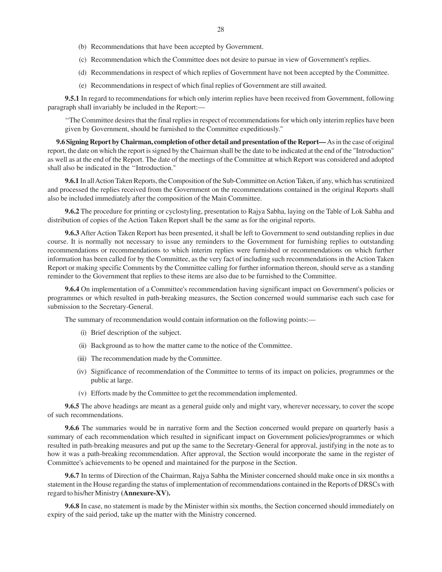- (c) Recommendation which the Committee does not desire to pursue in view of Government's replies.
- (d) Recommendations in respect of which replies of Government have not been accepted by the Committee.
- (e) Recommendations in respect of which final replies of Government are still awaited.

**9.5.1** In regard to recommendations for which only interim replies have been received from Government, following paragraph shall invariably be included in the Report:—

''The Committee desires that the final replies in respect of recommendations for which only interim replies have been given by Government, should be furnished to the Committee expeditiously."

**9.6 Signing Report by Chairman, completion of other detail and presentation of the Report—** As in the case of original report, the date on which the report is signed by the Chairman shall be the date to be indicated at the end of the "Introduction" as well as at the end of the Report. The date of the meetings of the Committee at which Report was considered and adopted shall also be indicated in the ''Introduction."

**9.6.1** In all Action Taken Reports, the Composition of the Sub-Committee on Action Taken, if any, which has scrutinized and processed the replies received from the Government on the recommendations contained in the original Reports shall also be included immediately after the composition of the Main Committee.

**9.6.2** The procedure for printing or cyclostyling, presentation to Rajya Sabha, laying on the Table of Lok Sabha and distribution of copies of the Action Taken Report shall be the same as for the original reports.

**9.6.3** After Action Taken Report has been presented, it shall be left to Government to send outstanding replies in due course. It is normally not necessary to issue any reminders to the Government for furnishing replies to outstanding recommendations or recommendations to which interim replies were furnished or recommendations on which further information has been called for by the Committee, as the very fact of including such recommendations in the Action Taken Report or making specific Comments by the Committee calling for further information thereon, should serve as a standing reminder to the Government that replies to these items are also due to be furnished to the Committee.

**9.6.4** On implementation of a Committee's recommendation having significant impact on Government's policies or programmes or which resulted in path-breaking measures, the Section concerned would summarise each such case for submission to the Secretary-General.

The summary of recommendation would contain information on the following points:—

- (i) Brief description of the subject.
- (ii) Background as to how the matter came to the notice of the Committee.
- (iii) The recommendation made by the Committee.
- (iv) Significance of recommendation of the Committee to terms of its impact on policies, programmes or the public at large.
- (v) Efforts made by the Committee to get the recommendation implemented.

**9.6.5** The above headings are meant as a general guide only and might vary, wherever necessary, to cover the scope of such recommendations.

**9.6.6** The summaries would be in narrative form and the Section concerned would prepare on quarterly basis a summary of each recommendation which resulted in significant impact on Government policies/programmes or which resulted in path-breaking measures and put up the same to the Secretary-General for approval, justifying in the note as to how it was a path-breaking recommendation. After approval, the Section would incorporate the same in the register of Committee's achievements to be opened and maintained for the purpose in the Section.

**9.6.7** In terms of Direction of the Chairman, Rajya Sabha the Minister concerned should make once in six months a statement in the House regarding the status of implementation of recommendations contained in the Reports of DRSCs with regard to his/her Ministry **(Annexure-XV).**

**9.6.8** In case, no statement is made by the Minister within six months, the Section concerned should immediately on expiry of the said period, take up the matter with the Ministry concerned.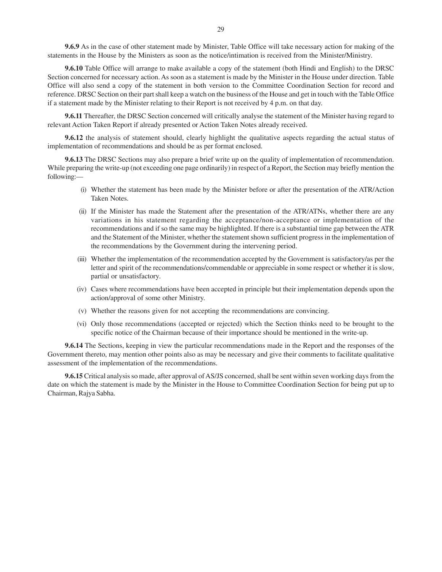**9.6.9** As in the case of other statement made by Minister, Table Office will take necessary action for making of the statements in the House by the Ministers as soon as the notice/intimation is received from the Minister/Ministry.

**9.6.10** Table Office will arrange to make available a copy of the statement (both Hindi and English) to the DRSC Section concerned for necessary action. As soon as a statement is made by the Minister in the House under direction. Table Office will also send a copy of the statement in both version to the Committee Coordination Section for record and reference. DRSC Section on their part shall keep a watch on the business of the House and get in touch with the Table Office if a statement made by the Minister relating to their Report is not received by 4 p.m. on that day.

**9.6.11** Thereafter, the DRSC Section concerned will critically analyse the statement of the Minister having regard to relevant Action Taken Report if already presented or Action Taken Notes already received.

**9.6.12** the analysis of statement should, clearly highlight the qualitative aspects regarding the actual status of implementation of recommendations and should be as per format enclosed.

**9.6.13** The DRSC Sections may also prepare a brief write up on the quality of implementation of recommendation. While preparing the write-up (not exceeding one page ordinarily) in respect of a Report, the Section may briefly mention the following:—

- (i) Whether the statement has been made by the Minister before or after the presentation of the ATR/Action Taken Notes.
- (ii) If the Minister has made the Statement after the presentation of the ATR/ATNs, whether there are any variations in his statement regarding the acceptance/non-acceptance or implementation of the recommendations and if so the same may be highlighted. If there is a substantial time gap between the ATR and the Statement of the Minister, whether the statement shown sufficient progress in the implementation of the recommendations by the Government during the intervening period.
- (iii) Whether the implementation of the recommendation accepted by the Government is satisfactory/as per the letter and spirit of the recommendations/commendable or appreciable in some respect or whether it is slow, partial or unsatisfactory.
- (iv) Cases where recommendations have been accepted in principle but their implementation depends upon the action/approval of some other Ministry.
- (v) Whether the reasons given for not accepting the recommendations are convincing.
- (vi) Only those recommendations (accepted or rejected) which the Section thinks need to be brought to the specific notice of the Chairman because of their importance should be mentioned in the write-up.

**9.6.14** The Sections, keeping in view the particular recommendations made in the Report and the responses of the Government thereto, may mention other points also as may be necessary and give their comments to facilitate qualitative assessment of the implementation of the recommendations.

**9.6.15** Critical analysis so made, after approval of AS/JS concerned, shall be sent within seven working days from the date on which the statement is made by the Minister in the House to Committee Coordination Section for being put up to Chairman, Rajya Sabha.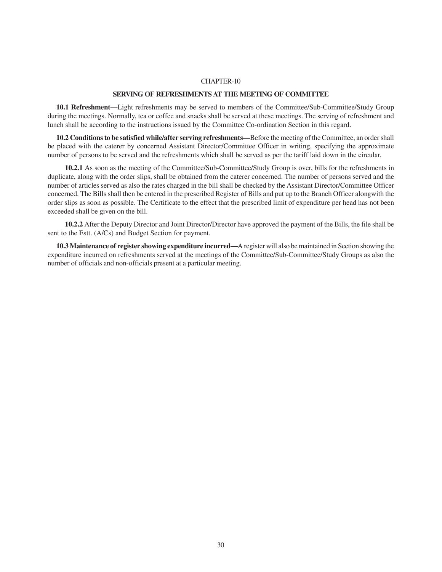#### **SERVING OF REFRESHMENTS AT THE MEETING OF COMMITTEE**

**10.1 Refreshment—**Light refreshments may be served to members of the Committee/Sub-Committee/Study Group during the meetings. Normally, tea or coffee and snacks shall be served at these meetings. The serving of refreshment and lunch shall be according to the instructions issued by the Committee Co-ordination Section in this regard.

**10.2 Conditions to be satisfied while/after serving refreshments—**Before the meeting of the Committee, an order shall be placed with the caterer by concerned Assistant Director/Committee Officer in writing, specifying the approximate number of persons to be served and the refreshments which shall be served as per the tariff laid down in the circular.

**10.2.1** As soon as the meeting of the Committee/Sub-Committee/Study Group is over, bills for the refreshments in duplicate, along with the order slips, shall be obtained from the caterer concerned. The number of persons served and the number of articles served as also the rates charged in the bill shall be checked by the Assistant Director/Committee Officer concerned. The Bills shall then be entered in the prescribed Register of Bills and put up to the Branch Officer alongwith the order slips as soon as possible. The Certificate to the effect that the prescribed limit of expenditure per head has not been exceeded shall be given on the bill.

**10.2.2** After the Deputy Director and Joint Director/Director have approved the payment of the Bills, the file shall be sent to the Estt. (A/Cs) and Budget Section for payment.

**10.3 Maintenance of register showing expenditure incurred—**A register will also be maintained in Section showing the expenditure incurred on refreshments served at the meetings of the Committee/Sub-Committee/Study Groups as also the number of officials and non-officials present at a particular meeting.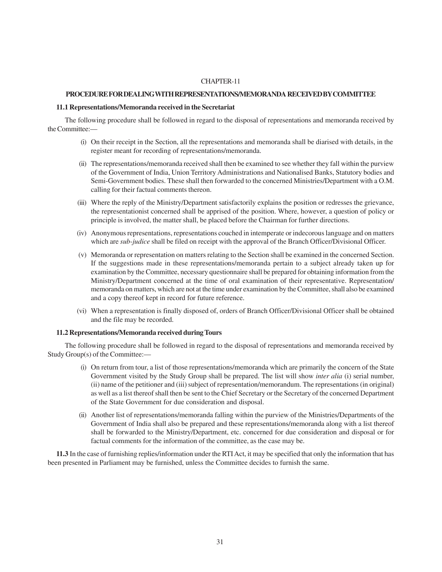#### **PROCEDURE FOR DEALING WITH REPRESENTATIONS/MEMORANDA RECEIVED BY COMMITTEE**

#### **11.1 Representations/Memoranda received in the Secretariat**

The following procedure shall be followed in regard to the disposal of representations and memoranda received by the Committee:—

- (i) On their receipt in the Section, all the representations and memoranda shall be diarised with details, in the register meant for recording of representations/memoranda.
- (ii) The representations/memoranda received shall then be examined to see whether they fall within the purview of the Government of India, Union Territory Administrations and Nationalised Banks, Statutory bodies and Semi-Government bodies. These shall then forwarded to the concerned Ministries/Department with a O.M. calling for their factual comments thereon.
- (iii) Where the reply of the Ministry/Department satisfactorily explains the position or redresses the grievance, the representationist concerned shall be apprised of the position. Where, however, a question of policy or principle is involved, the matter shall, be placed before the Chairman for further directions.
- (iv) Anonymous representations, representations couched in intemperate or indecorous language and on matters which are *sub-judice* shall be filed on receipt with the approval of the Branch Officer/Divisional Officer.
- (v) Memoranda or representation on matters relating to the Section shall be examined in the concerned Section. If the suggestions made in these representations/memoranda pertain to a subject already taken up for examination by the Committee, necessary questionnaire shall be prepared for obtaining information from the Ministry/Department concerned at the time of oral examination of their representative. Representation/ memoranda on matters, which are not at the time under examination by the Committee, shall also be examined and a copy thereof kept in record for future reference.
- (vi) When a representation is finally disposed of, orders of Branch Officer/Divisional Officer shall be obtained and the file may be recorded.

#### **11.2 Representations/Memoranda received during Tours**

The following procedure shall be followed in regard to the disposal of representations and memoranda received by Study Group(s) of the Committee:—

- (i) On return from tour, a list of those representations/memoranda which are primarily the concern of the State Government visited by the Study Group shall be prepared. The list will show *inter alia* (i) serial number, (ii) name of the petitioner and (iii) subject of representation/memorandum. The representations (in original) as well as a list thereof shall then be sent to the Chief Secretary or the Secretary of the concerned Department of the State Government for due consideration and disposal.
- (ii) Another list of representations/memoranda falling within the purview of the Ministries/Departments of the Government of India shall also be prepared and these representations/memoranda along with a list thereof shall be forwarded to the Ministry/Department, etc. concerned for due consideration and disposal or for factual comments for the information of the committee, as the case may be.

**11.3** In the case of furnishing replies/information under the RTI Act, it may be specified that only the information that has been presented in Parliament may be furnished, unless the Committee decides to furnish the same.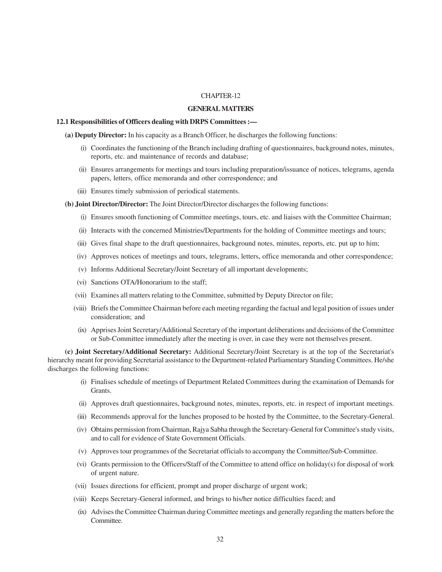#### **GENERAL MATTERS**

#### **12.1 Responsibilities of Officers dealing with DRPS Committees :—**

**(a) Deputy Director:** In his capacity as a Branch Officer, he discharges the following functions:

- (i) Coordinates the functioning of the Branch including drafting of questionnaires, background notes, minutes, reports, etc. and maintenance of records and database;
- (ii) Ensures arrangements for meetings and tours including preparation/issuance of notices, telegrams, agenda papers, letters, office memoranda and other correspondence; and
- (iii) Ensures timely submission of periodical statements.
- **(b) Joint Director/Director:** The Joint Director/Director discharges the following functions:
	- (i) Ensures smooth functioning of Committee meetings, tours, etc. and liaises with the Committee Chairman;
	- (ii) Interacts with the concerned Ministries/Departments for the holding of Committee meetings and tours;
	- (iii) Gives final shape to the draft questionnaires, background notes, minutes, reports, etc. put up to him;
	- (iv) Approves notices of meetings and tours, telegrams, letters, office memoranda and other correspondence;
	- (v) Informs Additional Secretary/Joint Secretary of all important developments;
	- (vi) Sanctions OTA/Honorarium to the staff;
	- (vii) Examines all matters relating to the Committee, submitted by Deputy Director on file;
	- (viii) Briefs the Committee Chairman before each meeting regarding the factual and legal position of issues under consideration; and
	- (ix) Apprises Joint Secretary/Additional Secretary of the important deliberations and decisions of the Committee or Sub-Committee immediately after the meeting is over, in case they were not themselves present.

**(c) Joint Secretary/Additional Secretary:** Additional Secretary/Joint Secretary is at the top of the Secretariat's hierarchy meant for providing Secretarial assistance to the Department-related Parliamentary Standing Committees. He/she discharges the following functions:

- (i) Finalises schedule of meetings of Department Related Committees during the examination of Demands for Grants.
- (ii) Approves draft questionnaires, background notes, minutes, reports, etc. in respect of important meetings.
- (iii) Recommends approval for the lunches proposed to be hosted by the Committee, to the Secretary-General.
- (iv) Obtains permission from Chairman, Rajya Sabha through the Secretary-General for Committee's study visits, and to call for evidence of State Government Officials.
- (v) Approves tour programmes of the Secretariat officials to accompany the Committee/Sub-Committee.
- (vi) Grants permission to the Officers/Staff of the Committee to attend office on holiday(s) for disposal of work of urgent nature.
- (vii) Issues directions for efficient, prompt and proper discharge of urgent work;
- (viii) Keeps Secretary-General informed, and brings to his/her notice difficulties faced; and
- (ix) Advises the Committee Chairman during Committee meetings and generally regarding the matters before the Committee.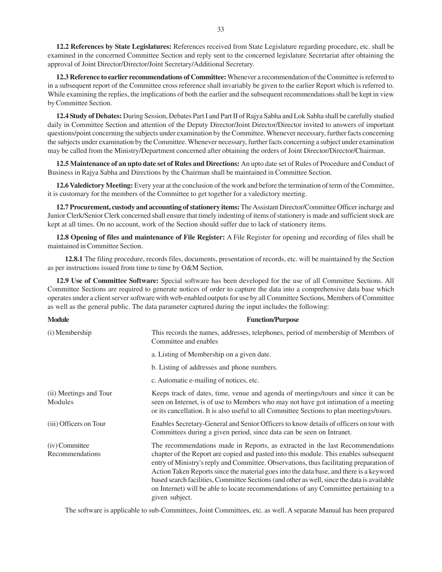**12.2 References by State Legislatures:** References received from State Legislature regarding procedure, etc. shall be examined in the concerned Committee Section and reply sent to the concerned legislature Secretariat after obtaining the approval of Joint Director/Director/Joint Secretary/Additional Secretary.

**12.3 Reference to earlier recommendations of Committee:** Whenever a recommendation of the Committee is referred to in a subsequent report of the Committee cross reference shall invariably be given to the earlier Report which is referred to. While examining the replies, the implications of both the earlier and the subsequent recommendations shall be kept in view by Committee Section.

**12.4 Study of Debates:** During Session, Debates Part I and Part II of Rajya Sabha and Lok Sabha shall be carefully studied daily in Committee Section and attention of the Deputy Director/Joint Director/Director invited to answers of important questions/point concerning the subjects under examination by the Committee. Whenever necessary, further facts concerning the subjects under examination by the Committee. Whenever necessary, further facts concerning a subject under examination may be called from the Ministry/Department concerned after obtaining the orders of Joint Director/Director/Chairman.

**12.5 Maintenance of an upto date set of Rules and Directions:** An upto date set of Rules of Procedure and Conduct of Business in Rajya Sabha and Directions by the Chairman shall be maintained in Committee Section.

**12.6 Valedictory Meeting:** Every year at the conclusion of the work and before the termination of term of the Committee, it is customary for the members of the Committee to get together for a valedictory meeting.

**12.7 Procurement, custody and accounting of stationery items:** The Assistant Director/Committee Officer incharge and Junior Clerk/Senior Clerk concerned shall ensure that timely indenting of items of stationery is made and sufficient stock are kept at all times. On no account, work of the Section should suffer due to lack of stationery items.

**12.8 Opening of files and maintenance of File Register:** A File Register for opening and recording of files shall be maintained in Committee Section.

**12.8.1** The filing procedure, records files, documents, presentation of records, etc. will be maintained by the Section as per instructions issued from time to time by O&M Section.

**12.9 Use of Committee Software:** Special software has been developed for the use of all Committee Sections. All Committee Sections are required to generate notices of order to capture the data into a comprehensive data base which operates under a client server software with web-enabled outputs for use by all Committee Sections, Members of Committee as well as the general public. The data parameter captured during the input includes the following:

| <b>Module</b>                     | <b>Function/Purpose</b>                                                                                                                                                                                                                                                                                                                                                                                                                                                                                                                                               |
|-----------------------------------|-----------------------------------------------------------------------------------------------------------------------------------------------------------------------------------------------------------------------------------------------------------------------------------------------------------------------------------------------------------------------------------------------------------------------------------------------------------------------------------------------------------------------------------------------------------------------|
| (i) Membership                    | This records the names, addresses, telephones, period of membership of Members of<br>Committee and enables                                                                                                                                                                                                                                                                                                                                                                                                                                                            |
|                                   | a. Listing of Membership on a given date.                                                                                                                                                                                                                                                                                                                                                                                                                                                                                                                             |
|                                   | b. Listing of addresses and phone numbers.                                                                                                                                                                                                                                                                                                                                                                                                                                                                                                                            |
|                                   | c. Automatic e-mailing of notices, etc.                                                                                                                                                                                                                                                                                                                                                                                                                                                                                                                               |
| (ii) Meetings and Tour<br>Modules | Keeps track of dates, time, venue and agenda of meetings/tours and since it can be<br>seen on Internet, is of use to Members who may not have got intimation of a meeting<br>or its cancellation. It is also useful to all Committee Sections to plan meetings/tours.                                                                                                                                                                                                                                                                                                 |
| (iii) Officers on Tour            | Enables Secretary-General and Senior Officers to know details of officers on tour with<br>Committees during a given period, since data can be seen on Intranet.                                                                                                                                                                                                                                                                                                                                                                                                       |
| (iv) Committee<br>Recommendations | The recommendations made in Reports, as extracted in the last Recommendations<br>chapter of the Report are copied and pasted into this module. This enables subsequent<br>entry of Ministry's reply and Committee. Observations, thus facilitating preparation of<br>Action Taken Reports since the material goes into the data base, and there is a keyword<br>based search facilities, Committee Sections (and other as well, since the data is available<br>on Internet) will be able to locate recommendations of any Committee pertaining to a<br>given subject. |

The software is applicable to sub-Committees, Joint Committees, etc. as well. A separate Manual has been prepared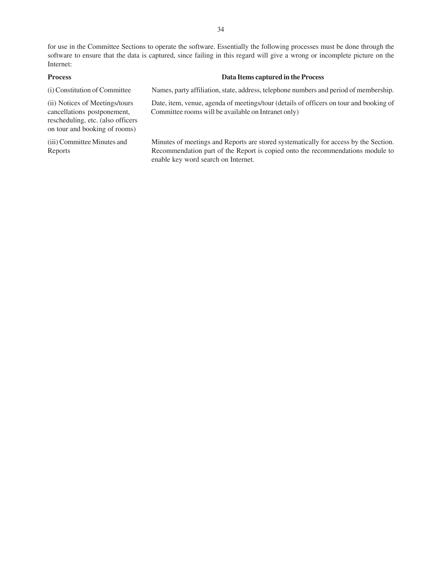for use in the Committee Sections to operate the software. Essentially the following processes must be done through the software to ensure that the data is captured, since failing in this regard will give a wrong or incomplete picture on the Internet:

| <b>Process</b>                                                                                                                      | Data Items captured in the Process                                                                                                                                                                            |
|-------------------------------------------------------------------------------------------------------------------------------------|---------------------------------------------------------------------------------------------------------------------------------------------------------------------------------------------------------------|
| (i) Constitution of Committee                                                                                                       | Names, party affiliation, state, address, telephone numbers and period of membership.                                                                                                                         |
| (ii) Notices of Meetings/tours<br>cancellations postponement,<br>rescheduling, etc. (also officers<br>on tour and booking of rooms) | Date, item, venue, agenda of meetings/tour (details of officers on tour and booking of<br>Committee rooms will be available on Intranet only)                                                                 |
| (iii) Committee Minutes and<br>Reports                                                                                              | Minutes of meetings and Reports are stored systematically for access by the Section.<br>Recommendation part of the Report is copied onto the recommendations module to<br>enable key word search on Internet. |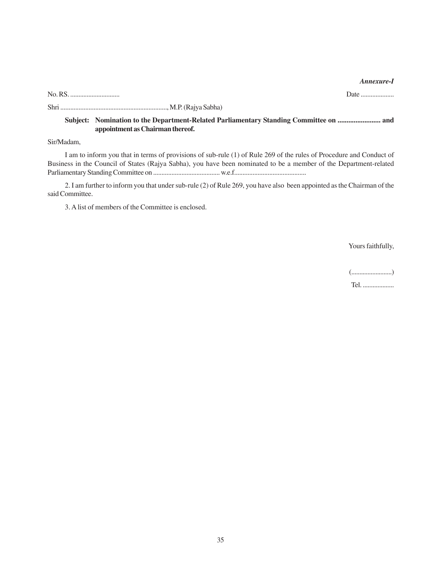#### *Annexure-I*

No. RS. .............................. Date ....................

Shri ................................................................, M.P. (Rajya Sabha)

# **Subject: Nomination to the Department-Related Parliamentary Standing Committee on ........................ and appointment as Chairman thereof.**

Sir/Madam,

I am to inform you that in terms of provisions of sub-rule (1) of Rule 269 of the rules of Procedure and Conduct of Business in the Council of States (Rajya Sabha), you have been nominated to be a member of the Department-related Parliamentary Standing Committee on ........................................ w.e.f...........................................

2. I am further to inform you that under sub-rule (2) of Rule 269, you have also been appointed as the Chairman of the said Committee.

3. A list of members of the Committee is enclosed.

Yours faithfully,

(.........................)

Tel. ...................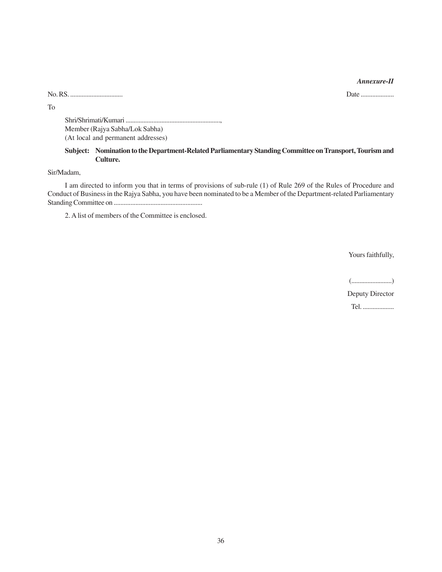#### *Annexure-II*

No. RS. ................................ Date ....................

To

Shri/Shrimati/Kumari .........................................................., Member (Rajya Sabha/Lok Sabha) (At local and permanent addresses)

# **Subject: Nomination to the Department-Related Parliamentary Standing Committee on Transport, Tourism and Culture.**

Sir/Madam,

I am directed to inform you that in terms of provisions of sub-rule (1) of Rule 269 of the Rules of Procedure and Conduct of Business in the Rajya Sabha, you have been nominated to be a Member of the Department-related Parliamentary Standing Committee on .....................................................

2. A list of members of the Committee is enclosed.

Yours faithfully,

(.........................)

Deputy Director

Tel. ...................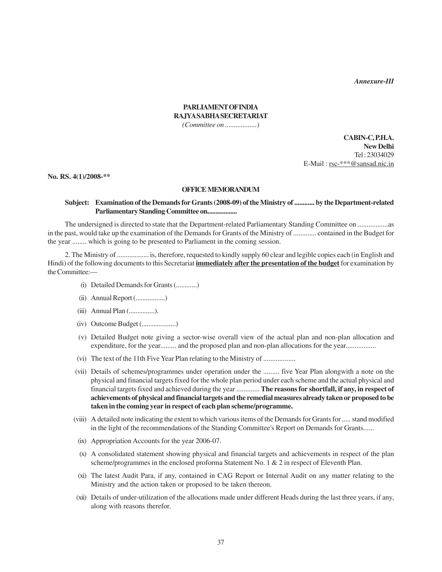*Annexure-III*

# **PARLIAMENT OF INDIA RAJYA SABHA SECRETARIAT**

*(Committee on ..................)*

**CABIN-C, P.H.A. New Delhi** Tel : 23034029 E-Mail : rsc-\*\*\*@sansad.nic.in

**No. RS. 4(1)/2008-\*\***

### **OFFICE MEMORANDUM**

#### **Subject: Examination of the Demands for Grants (2008-09) of the Ministry of ............ by the Department-related Parliamentary Standing Committee on..................**

The undersigned is directed to state that the Department-related Parliamentary Standing Committee on .................as in the past, would take up the examination of the Demands for Grants of the Ministry of ............. contained in the Budget for the year ........ which is going to be presented to Parliament in the coming session.

2. The Ministry of .................. is, therefore, requested to kindly supply 60 clear and legible copies each (in English and Hindi) of the following documents to this Secretariat **immediately after the presentation of the budget** for examination by the Committee:—

- (i) Detailed Demands for Grants (............)
- (ii) Annual Report (.................)
- (iii) Annual Plan (...............).
- (iv) Outcome Budget (....................)
- (v) Detailed Budget note giving a sector-wise overall view of the actual plan and non-plan allocation and expenditure, for the year......... and the proposed plan and non-plan allocations for the year................
- (vi) The text of the 11th Five Year Plan relating to the Ministry of ..................
- (vii) Details of schemes/programmes under operation under the ......... five Year Plan alongwith a note on the physical and financial targets fixed for the whole plan period under each scheme and the actual physical and financial targets fixed and achieved during the year ............. **The reasons for shortfall, if any, in respect of achievements of physical and financial targets and the remedial measures already taken or proposed to be taken in the coming year in respect of each plan scheme/programme.**
- (viii) A detailed note indicating the extent to which various items of the Demands for Grants for ..... stand modified in the light of the recommendations of the Standing Committee's Report on Demands for Grants......
- (ix) Appropriation Accounts for the year 2006-07.
- (x) A consolidated statement showing physical and financial targets and achievements in respect of the plan scheme/programmes in the enclosed proforma Statement No. 1 & 2 in respect of Eleventh Plan.
- (xi) The latest Audit Para, if any, contained in CAG Report or Internal Audit on any matter relating to the Ministry and the action taken or proposed to be taken thereon.
- (xii) Details of under-utilization of the allocations made under different Heads during the last three years, if any, along with reasons therefor.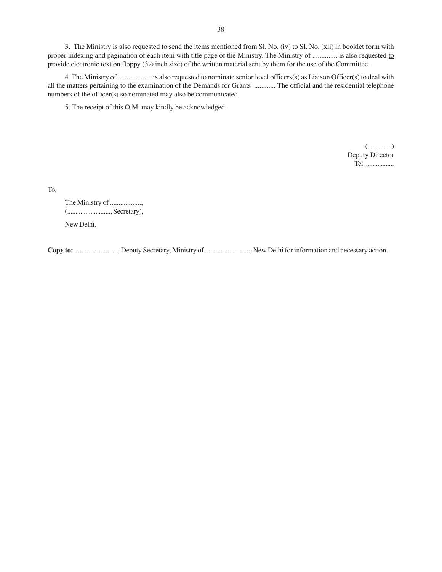3. The Ministry is also requested to send the items mentioned from Sl. No. (iv) to Sl. No. (xii) in booklet form with proper indexing and pagination of each item with title page of the Ministry. The Ministry of .............. is also requested to provide electronic text on floppy (3½ inch size) of the written material sent by them for the use of the Committee.

4. The Ministry of ................... is also requested to nominate senior level officers(s) as Liaison Officer(s) to deal with all the matters pertaining to the examination of the Demands for Grants ............ The official and the residential telephone numbers of the officer(s) so nominated may also be communicated.

5. The receipt of this O.M. may kindly be acknowledged.

(...............) Deputy Director Tel. .................

To,

The Ministry of .................., (.........................., Secretary), New Delhi.

**Copy to:** ........................., Deputy Secretary, Ministry of .........................., New Delhi for information and necessary action.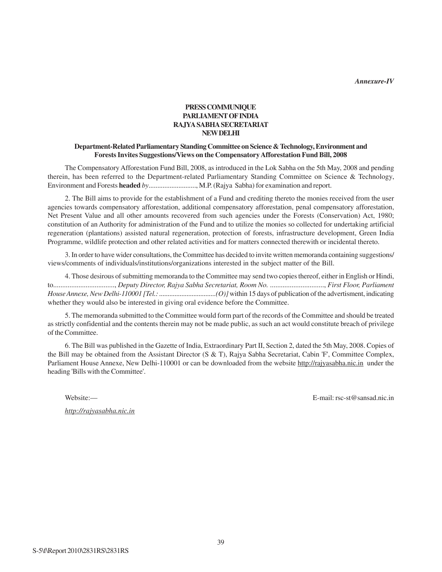*Annexure-IV*

# **PRESS COMMUNIQUE PARLIAMENT OF INDIA RAJYA SABHA SECRETARIAT NEW DELHI**

# **Department-Related Parliamentary Standing Committee on Science & Technology, Environment and Forests Invites Suggestions/Views on the Compensatory Afforestation Fund Bill, 2008**

The Compensatory Afforestation Fund Bill, 2008, as introduced in the Lok Sabha on the 5th May, 2008 and pending therein, has been referred to the Department-related Parliamentary Standing Committee on Science & Technology, Environment and Forests **headed** *by*..........................., M.P. (Rajya Sabha) for examination and report.

2. The Bill aims to provide for the establishment of a Fund and crediting thereto the monies received from the user agencies towards compensatory afforestation, additional compensatory afforestation, penal compensatory afforestation, Net Present Value and all other amounts recovered from such agencies under the Forests (Conservation) Act, 1980; constitution of an Authority for administration of the Fund and to utilize the monies so collected for undertaking artificial regeneration (plantations) assisted natural regeneration, protection of forests, infrastructure development, Green India Programme, wildlife protection and other related activities and for matters connected therewith or incidental thereto.

3. In order to have wider consultations, the Committee has decided to invite written memoranda containing suggestions/ views/comments of individuals/institutions/organizations interested in the subject matter of the Bill.

4. Those desirous of submitting memoranda to the Committee may send two copies thereof, either in English or Hindi, to.................................., *Deputy Director, Rajya Sabha Secretariat, Room No.* .............................., *First Floor, Parliament House Annexe, New Delhi-110001 [Tel.: .................................(O)]* within 15 days of publication of the advertisment, indicating whether they would also be interested in giving oral evidence before the Committee.

5. The memoranda submitted to the Committee would form part of the records of the Committee and should be treated as strictly confidential and the contents therein may not be made public, as such an act would constitute breach of privilege of the Committee.

6. The Bill was published in the Gazette of India, Extraordinary Part II, Section 2, dated the 5th May, 2008. Copies of the Bill may be obtained from the Assistant Director (S & T), Rajya Sabha Secretariat, Cabin 'F', Committee Complex, Parliament House Annexe, New Delhi-110001 or can be downloaded from the website http://rajyasabha.nic.in under the heading 'Bills with the Committee'.

*http://rajyasabha.nic.in*

Website:— E-mail: rsc-st@sansad.nic.in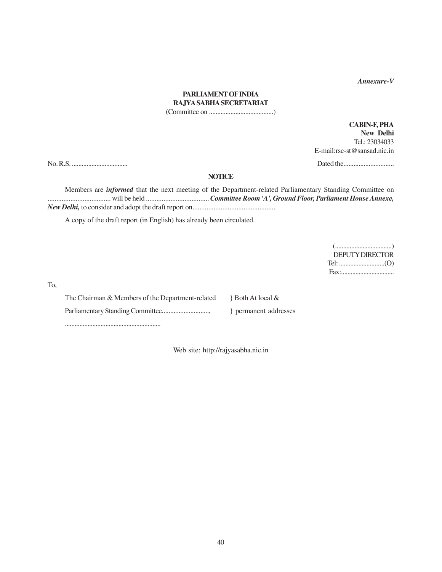*Annexure-V*

# **PARLIAMENT OF INDIA RAJYA SABHA SECRETARIAT**

(Committee on .......................................)

**CABIN-F, PHA New Delhi** Tel.: 23034033 E-mail:rsc-st@sansad.nic.in

No. R.S. .................................. Dated the..............................

#### **NOTICE**

Members are *informed* that the next meeting of the Department-related Parliamentary Standing Committee on .................................... will be held .................................... *Committee Room 'A', Ground Floor, Parliament House Annexe, New Delhi,* to consider and adopt the draft report on...............................................

A copy of the draft report (in English) has already been circulated.

(...................................) DEPUTY DIRECTOR Tel: ............................(O) Fax:.................................

To,

The Chairman & Members of the Department-related  $\}$  Both At local & Parliamentary Standing Committee............................, } permanent addresses

...........................................................

Web site: http://rajyasabha.nic.in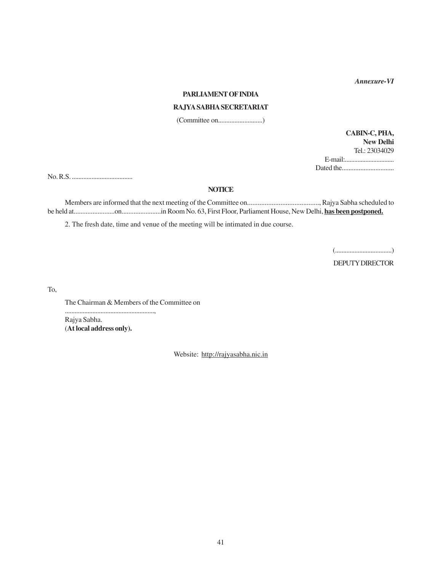*Annexure-VI*

#### **PARLIAMENT OF INDIA**

# **RAJYA SABHA SECRETARIAT**

(Committee on...........................)

**CABIN-C, PHA, New Delhi** Tel.: 23034029 E-mail:............................... Dated the...............................

No. R.S. .....................................

#### **NOTICE**

Members are informed that the next meeting of the Committee on........................................., Rajya Sabha scheduled to be held at........................on.......................in Room No. 63, First Floor, Parliament House, New Delhi, **has been postponed.**

2. The fresh date, time and venue of the meeting will be intimated in due course.

(...................................)

DEPUTY DIRECTOR

To,

The Chairman & Members of the Committee on

Rajya Sabha. (**At local address only).**

.......................................................,

Website: http://rajyasabha.nic.in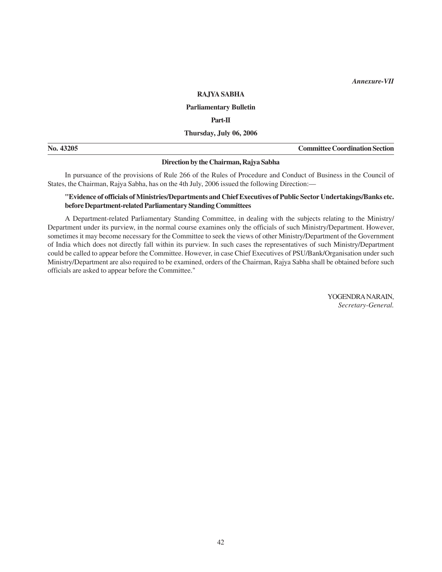*Annexure-VII*

#### **RAJYA SABHA**

# **Parliamentary Bulletin**

**Part-II**

**Thursday, July 06, 2006**

| No. 4 | <b>Committee Coordination Section</b> |
|-------|---------------------------------------|
|       |                                       |

#### **Direction by the Chairman, Rajya Sabha**

In pursuance of the provisions of Rule 266 of the Rules of Procedure and Conduct of Business in the Council of States, the Chairman, Rajya Sabha, has on the 4th July, 2006 issued the following Direction:—

# **"Evidence of officials of Ministries/Departments and Chief Executives of Public Sector Undertakings/Banks etc. before Department-related Parliamentary Standing Committees**

A Department-related Parliamentary Standing Committee, in dealing with the subjects relating to the Ministry/ Department under its purview, in the normal course examines only the officials of such Ministry/Department. However, sometimes it may become necessary for the Committee to seek the views of other Ministry/Department of the Government of India which does not directly fall within its purview. In such cases the representatives of such Ministry/Department could be called to appear before the Committee. However, in case Chief Executives of PSU/Bank/Organisation under such Ministry/Department are also required to be examined, orders of the Chairman, Rajya Sabha shall be obtained before such officials are asked to appear before the Committee."

> YOGENDRA NARAIN, *Secretary-General.*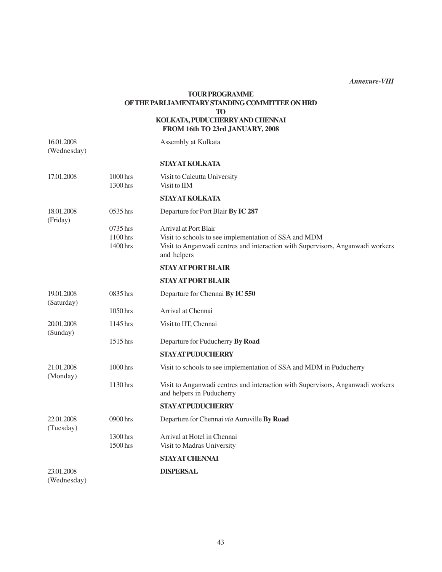*Annexure-VIII*

# **TOUR PROGRAMME OF THE PARLIAMENTARY STANDING COMMITTEE ON HRD TO KOLKATA, PUDUCHERRY AND CHENNAI**

# **FROM 16th TO 23rd JANUARY, 2008**

16.01.2008 Assembly at Kolkata (Wednesday)

|                          |                                  | <b>STAY AT KOLKATA</b>                                                                                                                                                          |
|--------------------------|----------------------------------|---------------------------------------------------------------------------------------------------------------------------------------------------------------------------------|
| 17.01.2008               | 1000 hrs<br>1300 hrs             | Visit to Calcutta University<br>Visit to IIM                                                                                                                                    |
|                          |                                  | <b>STAY AT KOLKATA</b>                                                                                                                                                          |
| 18.01.2008<br>(Friday)   | 0535 hrs                         | Departure for Port Blair By IC 287                                                                                                                                              |
|                          | 0735 hrs<br>1100 hrs<br>1400 hrs | Arrival at Port Blair<br>Visit to schools to see implementation of SSA and MDM<br>Visit to Anganwadi centres and interaction with Supervisors, Anganwadi workers<br>and helpers |
|                          |                                  | <b>STAY AT PORT BLAIR</b>                                                                                                                                                       |
|                          |                                  | <b>STAY AT PORT BLAIR</b>                                                                                                                                                       |
| 19.01.2008<br>(Saturday) | 0835 hrs                         | Departure for Chennai By IC 550                                                                                                                                                 |
|                          | 1050 hrs                         | Arrival at Chennai                                                                                                                                                              |
| 20.01.2008<br>(Sunday)   | 1145 hrs                         | Visit to IIT, Chennai                                                                                                                                                           |
|                          | 1515 hrs                         | Departure for Puducherry By Road                                                                                                                                                |
|                          |                                  | <b>STAY AT PUDUCHERRY</b>                                                                                                                                                       |
| 21.01.2008<br>(Monday)   | 1000 hrs                         | Visit to schools to see implementation of SSA and MDM in Puducherry                                                                                                             |
|                          | 1130 hrs                         | Visit to Anganwadi centres and interaction with Supervisors, Anganwadi workers<br>and helpers in Puducherry                                                                     |
|                          |                                  | <b>STAY AT PUDUCHERRY</b>                                                                                                                                                       |
| 22.01.2008<br>(Tuesday)  | 0900 hrs                         | Departure for Chennai via Auroville By Road                                                                                                                                     |
|                          | 1300 hrs<br>1500 hrs             | Arrival at Hotel in Chennai<br>Visit to Madras University                                                                                                                       |
|                          |                                  | <b>STAYAT CHENNAI</b>                                                                                                                                                           |
| 23.01.2008               |                                  | <b>DISPERSAL</b>                                                                                                                                                                |
|                          |                                  |                                                                                                                                                                                 |

(Wednesday)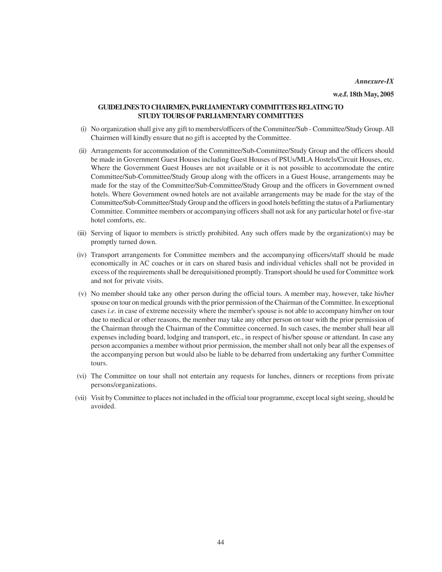**w.e.f. 18th May, 2005**

# **GUIDELINES TO CHAIRMEN, PARLIAMENTARY COMMITTEES RELATING TO STUDY TOURS OF PARLIAMENTARY COMMITTEES**

- (i) No organization shall give any gift to members/officers of the Committee/Sub Committee/Study Group. All Chairmen will kindly ensure that no gift is accepted by the Committee.
- (ii) Arrangements for accommodation of the Committee/Sub-Committee/Study Group and the officers should be made in Government Guest Houses including Guest Houses of PSUs/MLA Hostels/Circuit Houses, etc. Where the Government Guest Houses are not available or it is not possible to accommodate the entire Committee/Sub-Committee/Study Group along with the officers in a Guest House, arrangements may be made for the stay of the Committee/Sub-Committee/Study Group and the officers in Government owned hotels. Where Government owned hotels are not available arrangements may be made for the stay of the Committee/Sub-Committee/Study Group and the officers in good hotels befitting the status of a Parliamentary Committee. Committee members or accompanying officers shall not ask for any particular hotel or five-star hotel comforts, etc.
- (iii) Serving of liquor to members is strictly prohibited. Any such offers made by the organization(s) may be promptly turned down.
- (iv) Transport arrangements for Committee members and the accompanying officers/staff should be made economically in AC coaches or in cars on shared basis and individual vehicles shall not be provided in excess of the requirements shall be derequisitioned promptly. Transport should be used for Committee work and not for private visits.
- (v) No member should take any other person during the official tours. A member may, however, take his/her spouse on tour on medical grounds with the prior permission of the Chairman of the Committee. In exceptional cases *i.e.* in case of extreme necessity where the member's spouse is not able to accompany him/her on tour due to medical or other reasons, the member may take any other person on tour with the prior permission of the Chairman through the Chairman of the Committee concerned. In such cases, the member shall bear all expenses including board, lodging and transport, etc., in respect of his/her spouse or attendant. In case any person accompanies a member without prior permission, the member shall not only bear all the expenses of the accompanying person but would also be liable to be debarred from undertaking any further Committee tours.
- (vi) The Committee on tour shall not entertain any requests for lunches, dinners or receptions from private persons/organizations.
- (vii) Visit by Committee to places not included in the official tour programme, except local sight seeing, should be avoided.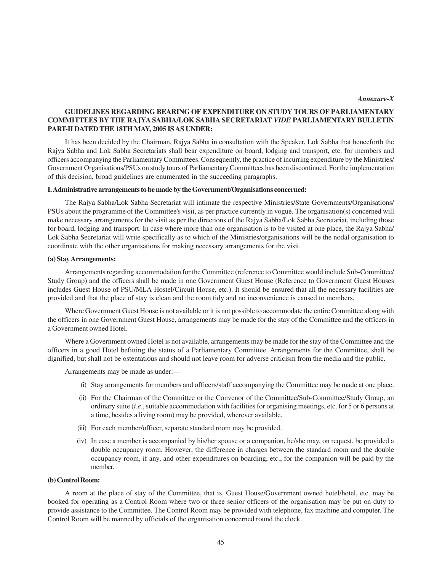*Annexure-X*

# **GUIDELINES REGARDING BEARING OF EXPENDITURE ON STUDY TOURS OF PARLIAMENTARY COMMITTEES BY THE RAJYA SABHA/LOK SABHA SECRETARIAT** *VIDE* **PARLIAMENTARY BULLETIN PART-II DATED THE 18TH MAY, 2005 IS AS UNDER:**

It has been decided by the Chairman, Rajya Sabha in consultation with the Speaker, Lok Sabha that henceforth the Rajya Sabha and Lok Sabha Secretariats shall bear expenditure on board, lodging and transport, etc. for members and officers accompanying the Parliamentary Committees. Consequently, the practice of incurring expenditure by the Ministries/ Government Organisations/PSUs on study tours of Parliamentary Committees has been discontinued. For the implementation of this decision, broad guidelines are enumerated in the succeeding paragraphs.

#### **I. Administrative arrangements to be made by the Government/Organisations concerned:**

The Rajya Sabha/Lok Sabha Secretariat will intimate the respective Ministries/State Governments/Organisations/ PSUs about the programme of the Committee's visit, as per practice currently in vogue. The organisation(s) concerned will make necessary arrangements for the visit as per the directions of the Rajya Sabha/Lok Sabha Secretariat, including those for board, lodging and transport. In case where more than one organisation is to be visited at one place, the Rajya Sabha/ Lok Sabha Secretariat will write specifically as to which of the Ministries/organisations will be the nodal organisation to coordinate with the other organisations for making necessary arrangements for the visit.

#### **(a) Stay Arrangements:**

Arrangements regarding accommodation for the Committee (reference to Committee would include Sub-Committee/ Study Group) and the officers shall be made in one Government Guest House (Reference to Government Guest Houses includes Guest House of PSU/MLA Hostel/Circuit House, etc.). It should be ensured that all the necessary facilities are provided and that the place of stay is clean and the room tidy and no inconvenience is caused to members.

Where Government Guest House is not available or it is not possible to accommodate the entire Committee along with the officers in one Government Guest House, arrangements may be made for the stay of the Committee and the officers in a Government owned Hotel.

Where a Government owned Hotel is not available, arrangements may be made for the stay of the Committee and the officers in a good Hotel befitting the status of a Parliamentary Committee. Arrangements for the Committee, shall be dignified, but shall not be ostentatious and should not leave room for adverse criticism from the media and the public.

Arrangements may be made as under:—

- (i) Stay arrangements for members and officers/staff accompanying the Committee may be made at one place.
- (ii) For the Chairman of the Committee or the Convenor of the Committee/Sub-Committee/Study Group, an ordinary suite (*i*.*e*., suitable accommodation with facilities for organising meetings, etc. for 5 or 6 persons at a time, besides a living room) may be provided, wherever available.
- (iii) For each member/officer, separate standard room may be provided.
- (iv) In case a member is accompanied by his/her spouse or a companion, he/she may, on request, be provided a double occupancy room. However, the difference in charges between the standard room and the double occupancy room, if any, and other expenditures on boarding, etc., for the companion will be paid by the member.

#### **(b) Control Room:**

A room at the place of stay of the Committee, that is, Guest House/Government owned hotel/hotel, etc. may be booked for operating as a Control Room where two or three senior officers of the organisation may be put on duty to provide assistance to the Committee. The Control Room may be provided with telephone, fax machine and computer. The Control Room will be manned by officials of the organisation concerned round the clock.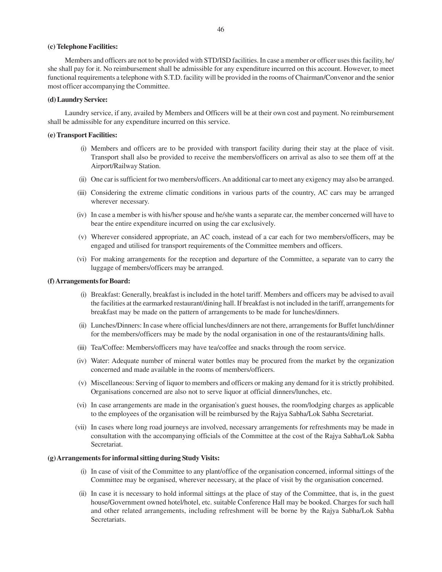#### **(c) Telephone Facilities:**

Members and officers are not to be provided with STD/ISD facilities. In case a member or officer uses this facility, he/ she shall pay for it. No reimbursement shall be admissible for any expenditure incurred on this account. However, to meet functional requirements a telephone with S.T.D. facility will be provided in the rooms of Chairman/Convenor and the senior most officer accompanying the Committee.

### **(d) Laundry Service:**

Laundry service, if any, availed by Members and Officers will be at their own cost and payment. No reimbursement shall be admissible for any expenditure incurred on this service.

#### **(e) Transport Facilities:**

- (i) Members and officers are to be provided with transport facility during their stay at the place of visit. Transport shall also be provided to receive the members/officers on arrival as also to see them off at the Airport/Railway Station.
- (ii) One car is sufficient for two members/officers. An additional car to meet any exigency may also be arranged.
- (iii) Considering the extreme climatic conditions in various parts of the country, AC cars may be arranged wherever necessary.
- (iv) In case a member is with his/her spouse and he/she wants a separate car, the member concerned will have to bear the entire expenditure incurred on using the car exclusively.
- (v) Wherever considered appropriate, an AC coach, instead of a car each for two members/officers, may be engaged and utilised for transport requirements of the Committee members and officers.
- (vi) For making arrangements for the reception and departure of the Committee, a separate van to carry the luggage of members/officers may be arranged.

#### **(f) Arrangements for Board:**

- (i) Breakfast: Generally, breakfast is included in the hotel tariff. Members and officers may be advised to avail the facilities at the earmarked restaurant/dining hall. If breakfast is not included in the tariff, arrangements for breakfast may be made on the pattern of arrangements to be made for lunches/dinners.
- (ii) Lunches/Dinners: In case where official lunches/dinners are not there, arrangements for Buffet lunch/dinner for the members/officers may be made by the nodal organisation in one of the restaurants/dining halls.
- (iii) Tea/Coffee: Members/officers may have tea/coffee and snacks through the room service.
- (iv) Water: Adequate number of mineral water bottles may be procured from the market by the organization concerned and made available in the rooms of members/officers.
- (v) Miscellaneous: Serving of liquor to members and officers or making any demand for it is strictly prohibited. Organisations concerned are also not to serve liquor at official dinners/lunches, etc.
- (vi) In case arrangements are made in the organisation's guest houses, the room/lodging charges as applicable to the employees of the organisation will be reimbursed by the Rajya Sabha/Lok Sabha Secretariat.
- (vii) In cases where long road journeys are involved, necessary arrangements for refreshments may be made in consultation with the accompanying officials of the Committee at the cost of the Rajya Sabha/Lok Sabha Secretariat.

#### **(g) Arrangements for informal sitting during Study Visits:**

- (i) In case of visit of the Committee to any plant/office of the organisation concerned, informal sittings of the Committee may be organised, wherever necessary, at the place of visit by the organisation concerned.
- (ii) In case it is necessary to hold informal sittings at the place of stay of the Committee, that is, in the guest house/Government owned hotel/hotel, etc. suitable Conference Hall may be booked. Charges for such hall and other related arrangements, including refreshment will be borne by the Rajya Sabha/Lok Sabha Secretariats.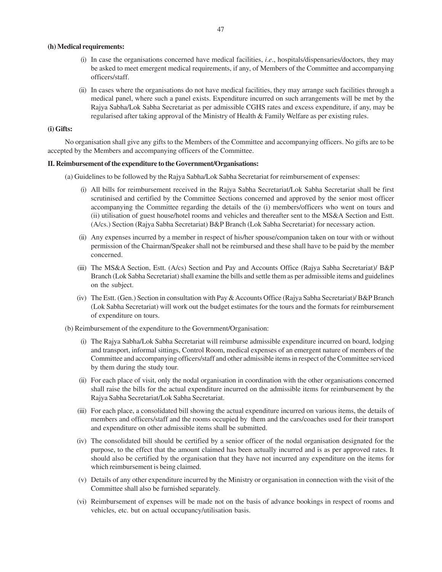#### **(h) Medical requirements:**

- (i) In case the organisations concerned have medical facilities, *i*.*e*., hospitals/dispensaries/doctors, they may be asked to meet emergent medical requirements, if any, of Members of the Committee and accompanying officers/staff.
- (ii) In cases where the organisations do not have medical facilities, they may arrange such facilities through a medical panel, where such a panel exists. Expenditure incurred on such arrangements will be met by the Rajya Sabha/Lok Sabha Secretariat as per admissible CGHS rates and excess expenditure, if any, may be regularised after taking approval of the Ministry of Health & Family Welfare as per existing rules.

#### **(i) Gifts:**

No organisation shall give any gifts to the Members of the Committee and accompanying officers. No gifts are to be accepted by the Members and accompanying officers of the Committee.

#### **II. Reimbursement of the expenditure to the Government/Organisations:**

- (a) Guidelines to be followed by the Rajya Sabha/Lok Sabha Secretariat for reimbursement of expenses:
	- (i) All bills for reimbursement received in the Rajya Sabha Secretariat/Lok Sabha Secretariat shall be first scrutinised and certified by the Committee Sections concerned and approved by the senior most officer accompanying the Committee regarding the details of the (i) members/officers who went on tours and (ii) utilisation of guest house/hotel rooms and vehicles and thereafter sent to the MS&A Section and Estt. (A/cs.) Section (Rajya Sabha Secretariat) B&P Branch (Lok Sabha Secretariat) for necessary action.
	- (ii) Any expenses incurred by a member in respect of his/her spouse/companion taken on tour with or without permission of the Chairman/Speaker shall not be reimbursed and these shall have to be paid by the member concerned.
	- (iii) The MS&A Section, Estt. (A/cs) Section and Pay and Accounts Office (Rajya Sabha Secretariat)/ B&P Branch (Lok Sabha Secretariat) shall examine the bills and settle them as per admissible items and guidelines on the subject.
	- (iv) The Estt. (Gen.) Section in consultation with Pay & Accounts Office (Rajya Sabha Secretariat)/ B&P Branch (Lok Sabha Secretariat) will work out the budget estimates for the tours and the formats for reimbursement of expenditure on tours.
- (b) Reimbursement of the expenditure to the Government/Organisation:
	- (i) The Rajya Sabha/Lok Sabha Secretariat will reimburse admissible expenditure incurred on board, lodging and transport, informal sittings, Control Room, medical expenses of an emergent nature of members of the Committee and accompanying officers/staff and other admissible items in respect of the Committee serviced by them during the study tour.
	- (ii) For each place of visit, only the nodal organisation in coordination with the other organisations concerned shall raise the bills for the actual expenditure incurred on the admissible items for reimbursement by the Rajya Sabha Secretariat/Lok Sabha Secretariat.
	- (iii) For each place, a consolidated bill showing the actual expenditure incurred on various items, the details of members and officers/staff and the rooms occupied by them and the cars/coaches used for their transport and expenditure on other admissible items shall be submitted.
	- (iv) The consolidated bill should be certified by a senior officer of the nodal organisation designated for the purpose, to the effect that the amount claimed has been actually incurred and is as per approved rates. It should also be certified by the organisation that they have not incurred any expenditure on the items for which reimbursement is being claimed.
	- (v) Details of any other expenditure incurred by the Ministry or organisation in connection with the visit of the Committee shall also be furnished separately.
	- (vi) Reimbursement of expenses will be made not on the basis of advance bookings in respect of rooms and vehicles, etc. but on actual occupancy/utilisation basis.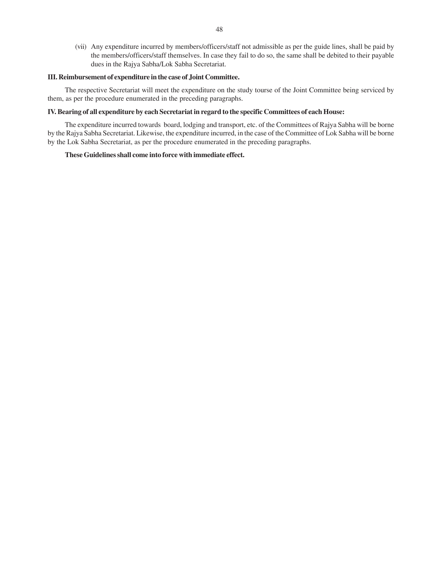(vii) Any expenditure incurred by members/officers/staff not admissible as per the guide lines, shall be paid by the members/officers/staff themselves. In case they fail to do so, the same shall be debited to their payable dues in the Rajya Sabha/Lok Sabha Secretariat.

#### **III. Reimbursement of expenditure in the case of Joint Committee.**

The respective Secretariat will meet the expenditure on the study tourse of the Joint Committee being serviced by them, as per the procedure enumerated in the preceding paragraphs.

#### **IV. Bearing of all expenditure by each Secretariat in regard to the specific Committees of each House:**

The expenditure incurred towards board, lodging and transport, etc. of the Committees of Rajya Sabha will be borne by the Rajya Sabha Secretariat. Likewise, the expenditure incurred, in the case of the Committee of Lok Sabha will be borne by the Lok Sabha Secretariat, as per the procedure enumerated in the preceding paragraphs.

#### **These Guidelines shall come into force with immediate effect.**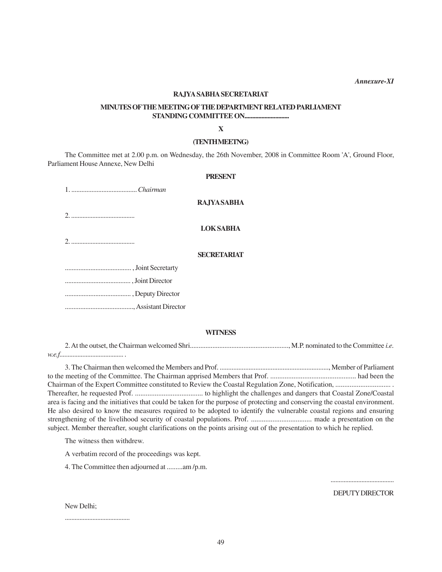*Annexure-XI*

# **RAJYA SABHA SECRETARIAT**

# **MINUTES OF THE MEETING OF THE DEPARTMENT RELATED PARLIAMENT STANDING COMMITTEE ON.............................**

**X**

#### **(TENTH MEETNG)**

The Committee met at 2.00 p.m. on Wednesday, the 26th November, 2008 in Committee Room 'A', Ground Floor, Parliament House Annexe, New Delhi

#### **PRESENT**

1. ....................................... *Chairman*

# **RAJYA SABHA**

2. .......................................

**LOK SABHA**

2. .......................................

# **SECRETARIAT**

....................................... , Joint Secretarty

....................................... , Joint Director

....................................... , Deputy Director

........................................, Assistant Director

# **WITNESS**

2. At the outset, the Chairman welcomed Shri........................................................., M.P. nominated to the Committee *i.e. w.e.f....................................... .*

3. The Chairman then welcomed the Members and Prof. ................................................................, Member of Parliament to the meeting of the Committee. The Chairman apprised Members that Prof. ................................................ had been the Chairman of the Expert Committee constituted to Review the Coastal Regulation Zone, Notification, ............................... . Thereafter, he requested Prof. ...................................... to highlight the challenges and dangers that Coastal Zone/Coastal area is facing and the initiatives that could be taken for the purpose of protecting and conserving the coastal environment. He also desired to know the measures required to be adopted to identify the vulnerable coastal regions and ensuring strengthening of the livelihood security of coastal populations. Prof. .................................. made a presentation on the subject. Member thereafter, sought clarifications on the points arising out of the presentation to which he replied.

The witness then withdrew.

A verbatim record of the proceedings was kept.

4. The Committee then adjourned at .........am /p.m.

....................................... DEPUTY DIRECTOR

New Delhi;

........................................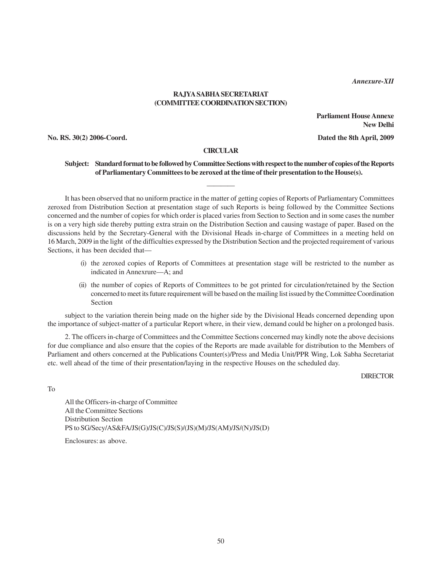*Annexure-XII*

# **RAJYA SABHA SECRETARIAT (COMMITTEE COORDINATION SECTION)**

**Parliament House Annexe New Delhi**

**No. RS. 30(2) 2006-Coord. Dated the 8th April, 2009**

#### **CIRCULAR**

————

# **Subject: Standard format to be followed by Committee Sections with respect to the number of copies of the Reports of Parliamentary Committees to be zeroxed at the time of their presentation to the House(s).**

It has been observed that no uniform practice in the matter of getting copies of Reports of Parliamentary Committees zeroxed from Distribution Section at presentation stage of such Reports is being followed by the Committee Sections concerned and the number of copies for which order is placed varies from Section to Section and in some cases the number is on a very high side thereby putting extra strain on the Distribution Section and causing wastage of paper. Based on the discussions held by the Secretary-General with the Divisional Heads in-charge of Committees in a meeting held on 16 March, 2009 in the light of the difficulties expressed by the Distribution Section and the projected requirement of various Sections, it has been decided that—

- (i) the zeroxed copies of Reports of Committees at presentation stage will be restricted to the number as indicated in Annexrure—A; and
- (ii) the number of copies of Reports of Committees to be got printed for circulation/retained by the Section concerned to meet its future requirement will be based on the mailing list issued by the Committee Coordination Section

subject to the variation therein being made on the higher side by the Divisional Heads concerned depending upon the importance of subject-matter of a particular Report where, in their view, demand could be higher on a prolonged basis.

2. The officers in-charge of Committees and the Committee Sections concerned may kindly note the above decisions for due compliance and also ensure that the copies of the Reports are made available for distribution to the Members of Parliament and others concerned at the Publications Counter(s)/Press and Media Unit/PPR Wing, Lok Sabha Secretariat etc. well ahead of the time of their presentation/laying in the respective Houses on the scheduled day.

DIRECTOR

To

All the Officers-in-charge of Committee All the Committee Sections Distribution Section PS to SG/Secy/AS&FA/JS(G)/JS(C)/JS(S)/(JS)(M)/JS(AM)/JS/(N)/JS(D)

Enclosures: as above.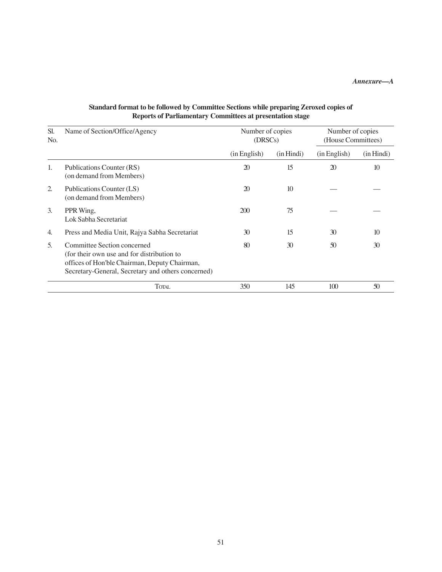# *Annexure—A*

| SI.<br>No.       | Name of Section/Office/Agency                                                                                                                                                    | Number of copies<br>(DRSCs) |                 | Number of copies<br>(House Committees) |                  |
|------------------|----------------------------------------------------------------------------------------------------------------------------------------------------------------------------------|-----------------------------|-----------------|----------------------------------------|------------------|
|                  |                                                                                                                                                                                  | (in English)                | (in Hindi)      | (in English)                           | (in Hindi)       |
| 1.               | Publications Counter (RS)<br>(on demand from Members)                                                                                                                            | $\mathfrak{D}$              | 15              | 20                                     | 10 <sup>10</sup> |
| 2.               | Publications Counter (LS)<br>(on demand from Members)                                                                                                                            | 20                          | 10 <sup>2</sup> |                                        |                  |
| $\mathfrak{Z}$ . | PPR Wing,<br>Lok Sabha Secretariat                                                                                                                                               | 200                         | 75              |                                        |                  |
| 4.               | Press and Media Unit, Rajya Sabha Secretariat                                                                                                                                    | 30                          | 15              | 30                                     | 10 <sup>2</sup>  |
| 5.               | Committee Section concerned<br>(for their own use and for distribution to<br>offices of Hon'ble Chairman, Deputy Chairman,<br>Secretary-General, Secretary and others concerned) | 80                          | 30              | 50                                     | 30               |
|                  | TOTAL                                                                                                                                                                            | 350                         | 145             | 100                                    | 50               |

# **Standard format to be followed by Committee Sections while preparing Zeroxed copies of Reports of Parliamentary Committees at presentation stage**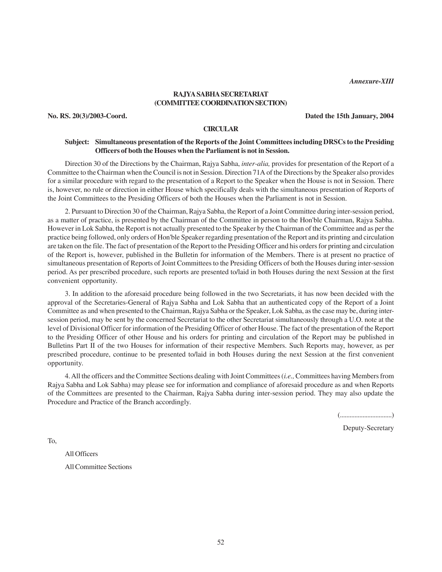*Annexure-XIII*

# **RAJYA SABHA SECRETARIAT (COMMITTEE COORDINATION SECTION)**

**No. RS. 20(3)/2003-Coord. Dated the 15th January, 2004**

#### **CIRCULAR**

# **Subject: Simultaneous presentation of the Reports of the Joint Committees including DRSCs to the Presiding Officers of both the Houses when the Parliament is not in Session.**

Direction 30 of the Directions by the Chairman, Rajya Sabha, *inter-alia,* provides for presentation of the Report of a Committee to the Chairman when the Council is not in Session. Direction 71A of the Directions by the Speaker also provides for a similar procedure with regard to the presentation of a Report to the Speaker when the House is not in Session. There is, however, no rule or direction in either House which specifically deals with the simultaneous presentation of Reports of the Joint Committees to the Presiding Officers of both the Houses when the Parliament is not in Session.

2. Pursuant to Direction 30 of the Chairman, Rajya Sabha, the Report of a Joint Committee during inter-session period, as a matter of practice, is presented by the Chairman of the Committee in person to the Hon'ble Chairman, Rajya Sabha. However in Lok Sabha, the Report is not actually presented to the Speaker by the Chairman of the Committee and as per the practice being followed, only orders of Hon'ble Speaker regarding presentation of the Report and its printing and circulation are taken on the file. The fact of presentation of the Report to the Presiding Officer and his orders for printing and circulation of the Report is, however, published in the Bulletin for information of the Members. There is at present no practice of simultaneous presentation of Reports of Joint Committees to the Presiding Officers of both the Houses during inter-session period. As per prescribed procedure, such reports are presented to/laid in both Houses during the next Session at the first convenient opportunity.

3. In addition to the aforesaid procedure being followed in the two Secretariats, it has now been decided with the approval of the Secretaries-General of Rajya Sabha and Lok Sabha that an authenticated copy of the Report of a Joint Committee as and when presented to the Chairman, Rajya Sabha or the Speaker, Lok Sabha, as the case may be, during intersession period, may be sent by the concerned Secretariat to the other Secretariat simultaneously through a U.O. note at the level of Divisional Officer for information of the Presiding Officer of other House. The fact of the presentation of the Report to the Presiding Officer of other House and his orders for printing and circulation of the Report may be published in Bulletins Part II of the two Houses for information of their respective Members. Such Reports may, however, as per prescribed procedure, continue to be presented to/laid in both Houses during the next Session at the first convenient opportunity.

4. All the officers and the Committee Sections dealing with Joint Committees (*i.e.,* Committees having Members from Rajya Sabha and Lok Sabha) may please see for information and compliance of aforesaid procedure as and when Reports of the Committees are presented to the Chairman, Rajya Sabha during inter-session period. They may also update the Procedure and Practice of the Branch accordingly.

(................................)

Deputy-Secretary

To,

All Officers All Committee Sections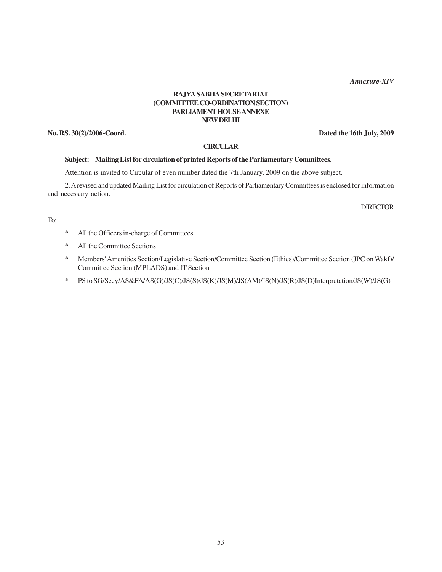*Annexure-XIV*

# **RAJYA SABHA SECRETARIAT (COMMITTEE CO-ORDINATION SECTION) PARLIAMENT HOUSE ANNEXE NEW DELHI**

**No. RS. 30(2)/2006-Coord. Dated the 16th July, 2009**

### **CIRCULAR**

#### **Subject: Mailing List for circulation of printed Reports of the Parliamentary Committees.**

Attention is invited to Circular of even number dated the 7th January, 2009 on the above subject.

2. A revised and updated Mailing List for circulation of Reports of Parliamentary Committees is enclosed for information and necessary action.

**DIRECTOR** 

To:

- \* All the Officers in-charge of Committees
- \* All the Committee Sections
- \* Members' Amenities Section/Legislative Section/Committee Section (Ethics)/Committee Section (JPC on Wakf)/ Committee Section (MPLADS) and IT Section
- \* PS to SG/Secy/AS&FA/AS(G)/JS(C)/JS(S)/JS(K)/JS(M)/JS(AM)/JS(N)/JS(R)/JS(D)Interpretation/JS(W)/JS(G)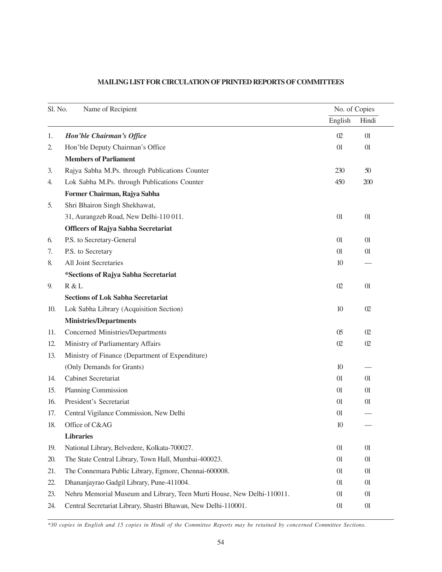| Name of Recipient<br>Sl. No. |                                                                        | No. of Copies  |          |
|------------------------------|------------------------------------------------------------------------|----------------|----------|
|                              |                                                                        | English        | Hindi    |
| 1.                           | Hon'ble Chairman's Office                                              | 02             | 01       |
| 2.                           | Hon'ble Deputy Chairman's Office                                       | 01             | 01       |
|                              | <b>Members of Parliament</b>                                           |                |          |
| 3.                           | Rajya Sabha M.Ps. through Publications Counter                         | 230            | 50       |
| 4.                           | Lok Sabha M.Ps. through Publications Counter                           | 450            | 200      |
|                              | Former Chairman, Rajya Sabha                                           |                |          |
| 5.                           | Shri Bhairon Singh Shekhawat,                                          |                |          |
|                              | 31, Aurangzeb Road, New Delhi-110 011.                                 | 01             | 01       |
|                              | <b>Officers of Rajya Sabha Secretariat</b>                             |                |          |
| 6.                           | P.S. to Secretary-General                                              | 01             | 01       |
| 7.                           | P.S. to Secretary                                                      | 01             | 01       |
| 8.                           | All Joint Secretaries                                                  | 10             |          |
|                              | *Sections of Rajya Sabha Secretariat                                   |                |          |
| 9.                           | R & L                                                                  | 02             | 01       |
|                              | <b>Sections of Lok Sabha Secretariat</b>                               |                |          |
| 10.                          | Lok Sabha Library (Acquisition Section)                                | 10             | $\Omega$ |
|                              | <b>Ministries/Departments</b>                                          |                |          |
| 11.                          | Concerned Ministries/Departments                                       | 0 <sub>5</sub> | $\Omega$ |
| 12.                          | Ministry of Parliamentary Affairs                                      | 02             | $\Omega$ |
| 13.                          | Ministry of Finance (Department of Expenditure)                        |                |          |
|                              | (Only Demands for Grants)                                              | 10             |          |
| 14.                          | Cabinet Secretariat                                                    | 01             | 01       |
| 15.                          | Planning Commission                                                    | 01             | 01       |
| 16.                          | President's Secretariat                                                | 01             | 01       |
| 17.                          | Central Vigilance Commission, New Delhi                                | 01             |          |
| 18.                          | Office of C&AG                                                         | 10             |          |
|                              | <b>Libraries</b>                                                       |                |          |
| 19.                          | National Library, Belvedere, Kolkata-700027.                           | 01             | 01       |
| 20.                          | The State Central Library, Town Hall, Mumbai-400023.                   | 01             | 01       |
| 21.                          | The Connemara Public Library, Egmore, Chennai-600008.                  | 01             | 01       |
| 22.                          | Dhananjayrao Gadgil Library, Pune-411004.                              | 01             | 01       |
| 23.                          | Nehru Memorial Museum and Library, Teen Murti House, New Delhi-110011. | 01             | 01       |
| 24.                          | Central Secretariat Library, Shastri Bhawan, New Delhi-110001.         | 01             | 01       |

# **MAILING LIST FOR CIRCULATION OF PRINTED REPORTS OF COMMITTEES**

*\*30 copies in English and 15 copies in Hindi of the Committee Reports may be retained by concerned Committee Sections.*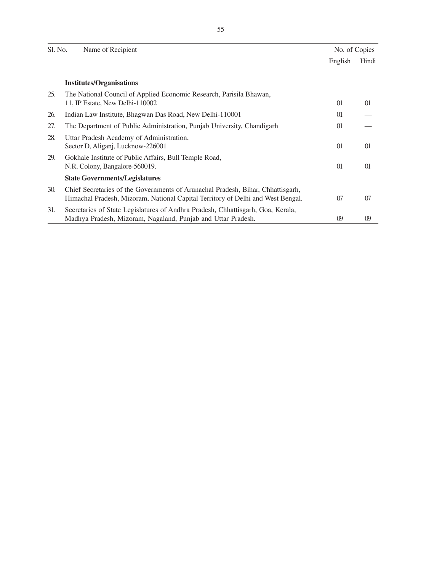| Sl. No. | Name of Recipient                                                                                                                                                  | No. of Copies |                  |
|---------|--------------------------------------------------------------------------------------------------------------------------------------------------------------------|---------------|------------------|
|         |                                                                                                                                                                    | English       | Hindi            |
|         | <b>Institutes/Organisations</b>                                                                                                                                    |               |                  |
| 25.     | The National Council of Applied Economic Research, Parisila Bhawan,<br>11, IP Estate, New Delhi-110002                                                             | $_{01}$       | 01               |
| 26.     | Indian Law Institute, Bhagwan Das Road, New Delhi-110001                                                                                                           | 01            |                  |
| 27.     | The Department of Public Administration, Punjab University, Chandigarh                                                                                             | 01            |                  |
| 28.     | Uttar Pradesh Academy of Administration,<br>Sector D, Aliganj, Lucknow-226001                                                                                      | 01            | 01               |
| 29.     | Gokhale Institute of Public Affairs, Bull Temple Road,<br>N.R. Colony, Bangalore-560019.                                                                           | 01            | 01               |
|         | <b>State Governments/Legislatures</b>                                                                                                                              |               |                  |
| 30.     | Chief Secretaries of the Governments of Arunachal Pradesh, Bihar, Chhattisgarh,<br>Himachal Pradesh, Mizoram, National Capital Territory of Delhi and West Bengal. | 07            | 07               |
| 31.     | Secretaries of State Legislatures of Andhra Pradesh, Chhattisgarh, Goa, Kerala,<br>Madhya Pradesh, Mizoram, Nagaland, Punjab and Uttar Pradesh.                    | $\omega$      | $\boldsymbol{0}$ |